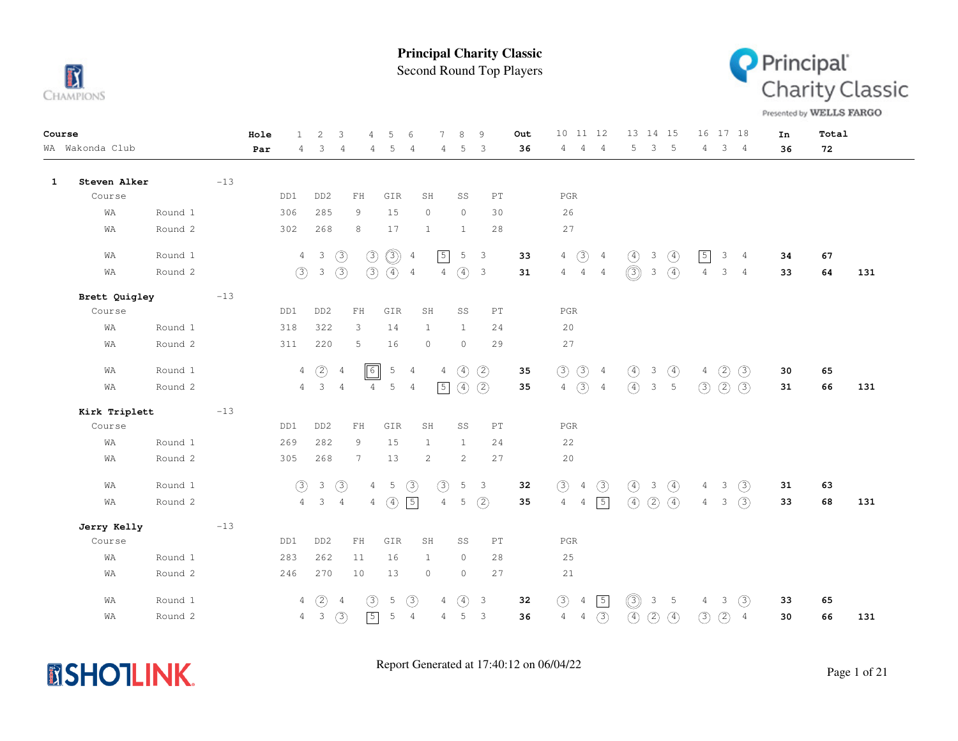

Second Round Top Players



Presented by WELLS FARGO

| Course |                 |         |       | Hole | $\mathbf{1}$   | $\overline{c}$          | 3              | 4                          | .5            | 6              | 7              | 8                   | 9                        |                            | Out |                | 10 11 12                  |                | 13 14 15      |               |                 | 16             | 17 18         |                | In | Total |     |
|--------|-----------------|---------|-------|------|----------------|-------------------------|----------------|----------------------------|---------------|----------------|----------------|---------------------|--------------------------|----------------------------|-----|----------------|---------------------------|----------------|---------------|---------------|-----------------|----------------|---------------|----------------|----|-------|-----|
|        | WA Wakonda Club |         |       | Par  | 4              | 3                       | 4              | 4                          | 5             | $\overline{4}$ | 4              | 5                   | 3                        |                            | 36  | 4              | $\overline{4}$            | $\overline{4}$ | 5             | $\mathbf{3}$  | $-5$            | $\overline{4}$ |               | 3 <sub>4</sub> | 36 | 72    |     |
|        |                 |         |       |      |                |                         |                |                            |               |                |                |                     |                          |                            |     |                |                           |                |               |               |                 |                |               |                |    |       |     |
| 1      | Steven Alker    |         | $-13$ |      | DD1            | DD <sub>2</sub>         |                |                            |               |                |                |                     |                          | $\mathop{\rm PT}\nolimits$ |     |                |                           |                |               |               |                 |                |               |                |    |       |     |
|        | Course          |         |       |      |                |                         |                | FH                         | GIR           |                | SH             | SS                  |                          |                            |     | $_{\rm PGR}$   |                           |                |               |               |                 |                |               |                |    |       |     |
|        | WA              | Round 1 |       |      | 306            | 285                     |                | 9                          | 15            |                | $\circ$        | $\circ$             |                          | 30                         |     | 26             |                           |                |               |               |                 |                |               |                |    |       |     |
|        | WA              | Round 2 |       |      | 302            | 268                     |                | 8                          | 17            |                | $\mathbf{1}$   | $\mathbf{1}$        |                          | 28                         |     | 27             |                           |                |               |               |                 |                |               |                |    |       |     |
|        | WA              | Round 1 |       |      | $\overline{4}$ | $\overline{\mathbf{3}}$ | $\circled{3}$  | $\circled{3}$              | $\circledS$   | $\overline{4}$ | $\sqrt{5}$     |                     | 5 <sup>3</sup>           |                            | 33  | $\overline{4}$ | $\bigodot$ 4              |                | $\circled{4}$ | 3             | $\circled{4}$   | $\boxed{5}$    | 3             | $\overline{4}$ | 34 | 67    |     |
|        | WA              | Round 2 |       |      | (3)            | $\mathcal{S}$           | $\circled{3}$  | (3)                        | $(4)$ 4       |                |                | $4\quad(4)$ 3       |                          |                            | 31  |                | $4\quad 4\quad 4$         |                | $\circledS$   | $\mathbf{3}$  | $\circled{4}$   | $\overline{4}$ | 3             | $\overline{4}$ | 33 | 64    | 131 |
|        | Brett Quigley   |         | $-13$ |      |                |                         |                |                            |               |                |                |                     |                          |                            |     |                |                           |                |               |               |                 |                |               |                |    |       |     |
|        | Course          |         |       |      | DD1            | DD <sub>2</sub>         |                | $\mathbb{F} \, \mathbb{H}$ | GIR           |                | SH             | SS                  |                          | $\mathop{\rm PT}\nolimits$ |     | $_{\rm PGR}$   |                           |                |               |               |                 |                |               |                |    |       |     |
|        | WA              | Round 1 |       |      | 318            | 322                     |                | 3                          | 14            |                | <sup>1</sup>   | <sup>1</sup>        |                          | 24                         |     | 20             |                           |                |               |               |                 |                |               |                |    |       |     |
|        | WA              | Round 2 |       |      | 311            | 220                     |                | 5                          | 16            |                | $\circ$        | $\circ$             |                          | 29                         |     | 27             |                           |                |               |               |                 |                |               |                |    |       |     |
|        | WA              | Round 1 |       |      | 4              | (2)                     | 4              | $\boxed{6}$                | 5             | $\overline{4}$ | 4              | $\circled{4}$       | (2)                      |                            | 35  | (3)            | $\circled{3}$ 4           |                | $\circled{4}$ | 3             | $\circled{4}$   | $\overline{4}$ | (2)           | (3)            | 30 | 65    |     |
|        | WA              | Round 2 |       |      |                | $4 \quad 3 \quad 4$     |                | $\overline{4}$             | 5             | $\overline{4}$ |                | $\boxed{5}$ (4) (2) |                          |                            | 35  |                | $4 \text{ } 3 \text{ } 4$ |                | $\circled{4}$ |               | $3\quad 5$      | (3)            | (2)           | (3)            | 31 | 66    | 131 |
|        | Kirk Triplett   |         | $-13$ |      |                |                         |                |                            |               |                |                |                     |                          |                            |     |                |                           |                |               |               |                 |                |               |                |    |       |     |
|        | Course          |         |       |      | DD1            | DD <sub>2</sub>         |                | ${\rm FH}$                 | GIR           |                | SH             | SS                  |                          | $\mathop{\rm PT}\nolimits$ |     | $_{\rm PGR}$   |                           |                |               |               |                 |                |               |                |    |       |     |
|        | WA              | Round 1 |       |      | 269            | 282                     |                | 9                          | 15            |                | $\mathbf{1}$   | $\mathbf{1}$        |                          | 24                         |     | 22             |                           |                |               |               |                 |                |               |                |    |       |     |
|        | WA              | Round 2 |       |      | 305            | 268                     |                | $7\overline{ }$            | 13            |                | 2              | 2                   |                          | 27                         |     | 20             |                           |                |               |               |                 |                |               |                |    |       |     |
|        | WA              | Round 1 |       |      | (3)            | $\mathcal{S}$           | $\circled{3}$  | $\overline{4}$             | 5             | $\circled{3}$  | $\circled{3}$  |                     | 5 <sup>3</sup>           |                            | 32  | (3)            | $\overline{4}$            | (3)            | $\circled{4}$ | 3             | $\circled{4}$   | $\overline{4}$ | 3             | $\circled{3}$  | 31 | 63    |     |
|        | WA              | Round 2 |       |      | $\overline{4}$ | $\mathbf{3}$            | $\overline{4}$ | $\overline{4}$             | $\circled{4}$ | $\sqrt{5}$     | $\overline{4}$ | 5                   | (2)                      |                            | 35  | $\overline{4}$ | $\overline{4}$            | $\boxed{5}$    | $\circled{4}$ | (2)           | $\circled{4}$   | $4\phantom{0}$ | $\mathcal{S}$ | (3)            | 33 | 68    | 131 |
|        | Jerry Kelly     |         | $-13$ |      |                |                         |                |                            |               |                |                |                     |                          |                            |     |                |                           |                |               |               |                 |                |               |                |    |       |     |
|        | Course          |         |       |      | DD1            | DD <sub>2</sub>         |                | ${\rm FH}$                 | GIR           |                | SH             | SS                  |                          | PT                         |     | PGR            |                           |                |               |               |                 |                |               |                |    |       |     |
|        | WA              | Round 1 |       |      | 283            | 262                     |                | 11                         | 16            |                | $\mathbf{1}$   | $\circ$             |                          | 28                         |     | 25             |                           |                |               |               |                 |                |               |                |    |       |     |
|        | WA              | Round 2 |       |      | 246            | 270                     |                | 10                         | 13            |                | $\circ$        | $\circ$             |                          | 27                         |     | 21             |                           |                |               |               |                 |                |               |                |    |       |     |
|        | WA              | Round 1 |       |      | 4              | (2)                     | $\overline{4}$ | (3)                        | 5             | (3)            | $\overline{4}$ | $\circled{4}$       | $\overline{\mathbf{3}}$  |                            | 32  | (3)            | 4                         | $\boxed{5}$    | $\circledS$   | 3             | $5\phantom{.0}$ | 4              | 3             | (3)            | 33 | 65    |     |
|        | WA              | Round 2 |       |      |                | $4\quad 3$              | (3)            | $\sqrt{5}$                 | 5             | $\overline{4}$ | $\overline{4}$ | 5                   | $\overline{\phantom{a}}$ |                            | 36  | $\overline{4}$ | $\overline{4}$            | $\circled{3}$  | $\circled{4}$ | $\circled{2}$ | $\circled{4}$   | $\circled{3}$  | $\circled{2}$ | $\overline{4}$ | 30 | 66    | 131 |

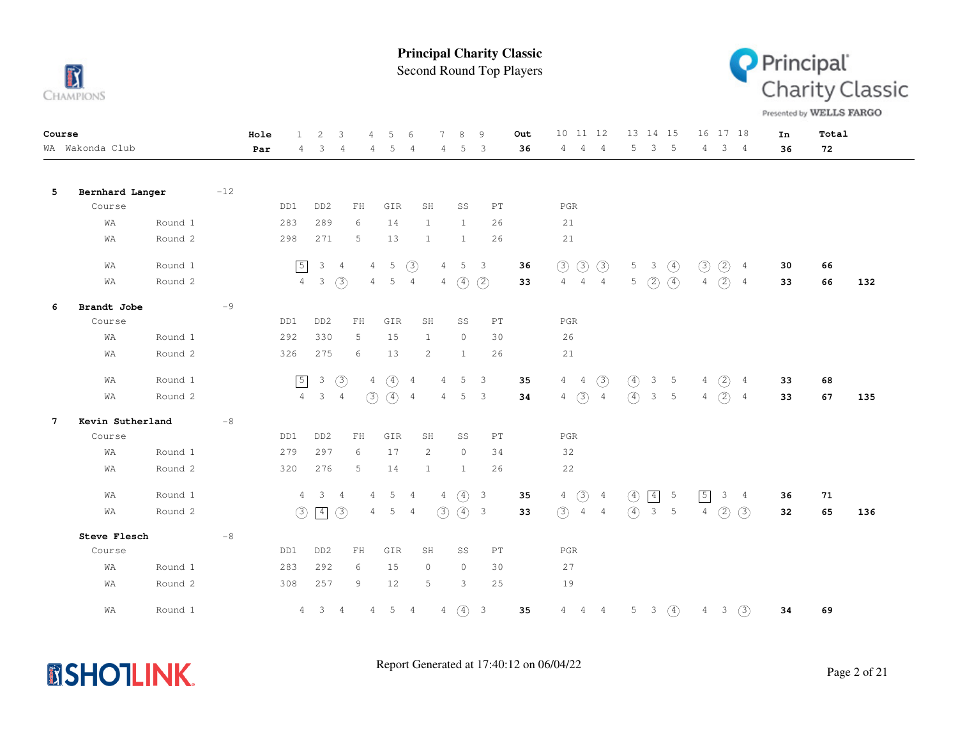

Second Round Top Players



Presented by WELLS FARGO

| Course          |                  |         |       | Hole | 1              | 2               | 3              | $\overline{4}$                                   | 5          | 6              |                | $\mathcal{R}$ | 9                          | Out | 10 11 12                         |                |                  | 13 14 15                |                |                | 16 17 18      |                | In | Total |     |
|-----------------|------------------|---------|-------|------|----------------|-----------------|----------------|--------------------------------------------------|------------|----------------|----------------|---------------|----------------------------|-----|----------------------------------|----------------|------------------|-------------------------|----------------|----------------|---------------|----------------|----|-------|-----|
|                 | WA Wakonda Club  |         |       | Par  | 4              | 3               | 4              | 4                                                | 5          | 4              | 4              | 5             | $\overline{3}$             | 36  | 4<br>$\overline{4}$              | 4              | 5                | 3                       | $5\phantom{0}$ | $4\phantom{0}$ |               | $3 \quad 4$    | 36 | 72    |     |
| 5               | Bernhard Langer  |         | $-12$ |      |                |                 |                |                                                  |            |                |                |               |                            |     |                                  |                |                  |                         |                |                |               |                |    |       |     |
|                 | Course           |         |       |      | DD1            | DD <sub>2</sub> |                | FH                                               | GIR        |                | SH             | SS            | PT                         |     | $_{\rm PGR}$                     |                |                  |                         |                |                |               |                |    |       |     |
|                 | WA               | Round 1 |       |      | 283            | 289             |                | 6                                                | 14         |                | $\mathbf{1}$   | $\mathbf{1}$  | 26                         |     | 21                               |                |                  |                         |                |                |               |                |    |       |     |
|                 | WA               | Round 2 |       |      | 298            | 271             |                | 5                                                | 13         |                | $\mathbf{1}$   | $\mathbf{1}$  | 26                         |     | 21                               |                |                  |                         |                |                |               |                |    |       |     |
|                 | WA               | Round 1 |       |      | $\boxed{5}$    | $\mathcal{E}$   | $\overline{4}$ | 4                                                | 5          | (3)            | $\overline{4}$ | $5 \quad 3$   |                            | 36  | (3)<br>$\circled{3}$             | $\circled{3}$  | 5                | $\overline{\mathbf{3}}$ | $\circled{4}$  | $\circled{3}$  | $\circled{2}$ | 4              | 30 | 66    |     |
|                 | WA               | Round 2 |       |      | $\overline{4}$ | $\mathcal{S}$   | (3)            | 4                                                | 5          | $\overline{4}$ | 4              | $\circled{4}$ | (2)                        | 33  | $\overline{4}$<br>$\overline{4}$ | 4              | $5 -$            | (2)                     | $\circled{4}$  |                | 4(2)          | $\overline{4}$ | 33 | 66    | 132 |
| 6               | Brandt Jobe      |         | $-9$  |      |                |                 |                |                                                  |            |                |                |               |                            |     |                                  |                |                  |                         |                |                |               |                |    |       |     |
|                 | Course           |         |       |      | DD1            | DD <sub>2</sub> |                | ${\rm FH}$                                       | GIR        |                | SH             | SS            | PT                         |     | $_{\rm PGR}$                     |                |                  |                         |                |                |               |                |    |       |     |
|                 | WA               | Round 1 |       |      | 292            | 330             |                | 5                                                | 15         |                | 1              | $\circ$       | 30                         |     | 26                               |                |                  |                         |                |                |               |                |    |       |     |
|                 | WA               | Round 2 |       |      | 326            | 275             |                | 6                                                | 13         |                | 2              | 1             | 26                         |     | 21                               |                |                  |                         |                |                |               |                |    |       |     |
|                 | WA               | Round 1 |       |      | $\sqrt{5}$     | $\mathcal{S}$   | $\circled{3}$  | 4                                                | $\circ$    | 4              | 4              | 5             | 3                          | 35  | $4\quad 4$                       | (3)            | $\circled{4}$    | 3                       | $-5$           |                | 4(2)          | $\overline{4}$ | 33 | 68    |     |
|                 | WA               | Round 2 |       |      | $\overline{4}$ | $\mathcal{S}$   | $\overline{4}$ | (3)                                              | (4)        | $\overline{4}$ | 4              | $5 \quad 3$   |                            | 34  | $4\quad(3)$                      | $\overline{4}$ | $\left(4\right)$ | $\mathcal{E}$           | $-5$           |                | 4(2)          | $\overline{4}$ | 33 | 67    | 135 |
| $7\phantom{.0}$ | Kevin Sutherland |         | $-8$  |      |                |                 |                |                                                  |            |                |                |               |                            |     |                                  |                |                  |                         |                |                |               |                |    |       |     |
|                 | Course           |         |       |      | DD1            | DD <sub>2</sub> |                | FH                                               | GIR        |                | SH             | SS            | PT                         |     | $_{\rm PGR}$                     |                |                  |                         |                |                |               |                |    |       |     |
|                 | WA               | Round 1 |       |      | 279            | 297             |                | 6                                                | 17         |                | 2              | $\circ$       | 34                         |     | 32                               |                |                  |                         |                |                |               |                |    |       |     |
|                 | WA               | Round 2 |       |      | 320            | 276             |                | 5                                                | 14         | $\mathbf{1}$   |                | $\mathbf{1}$  | 26                         |     | 22                               |                |                  |                         |                |                |               |                |    |       |     |
|                 | WA               | Round 1 |       |      |                | $4 \quad 3$     | $\overline{4}$ | 4                                                | 5          | 4              | 4              | $\circ$       | $\overline{\mathbf{3}}$    | 35  | $4\quad)$                        | $\overline{4}$ | $\circled{4}$    | $\boxed{4}$             | -5             | $\sqrt{5}$     | 3             | $\frac{4}{3}$  | 36 | 71    |     |
|                 | WA               | Round 2 |       |      | (3)            | $\sqrt{4}$      | $\circled{3}$  | 4                                                | 5          | $\overline{4}$ | (3)            | (4) 3         |                            | 33  | (3)                              | $4\quad 4$     | $\left(4\right)$ | 3 <sub>5</sub>          |                | $\overline{4}$ | (2)           | (3)            | 32 | 65    | 136 |
|                 | Steve Flesch     |         | $-8$  |      |                |                 |                |                                                  |            |                |                |               |                            |     |                                  |                |                  |                         |                |                |               |                |    |       |     |
|                 | Course           |         |       |      | DD1            | DD <sub>2</sub> |                | $\mathop{\rm F}\nolimits\mathop{\rm H}\nolimits$ | GIR        |                | SH             | SS            | $\mathop{\rm PT}\nolimits$ |     | $_{\rm PGR}$                     |                |                  |                         |                |                |               |                |    |       |     |
|                 | WA               | Round 1 |       |      | 283            | 292             |                | 6                                                | 15         |                | $\circ$        | $\circ$       | 30                         |     | 27                               |                |                  |                         |                |                |               |                |    |       |     |
|                 | WA               | Round 2 |       |      | 308            | 257             |                | 9                                                | 12         |                | 5              | 3             | 25                         |     | 19                               |                |                  |                         |                |                |               |                |    |       |     |
|                 | WA               | Round 1 |       |      | $4 -$          | $3 \quad 4$     |                | $\overline{4}$                                   | $5\quad 4$ |                | $4 -$          | $\circled{4}$ | $\overline{\mathbf{3}}$    | 35  | 4<br>$\overline{4}$              | $\overline{4}$ |                  | $5 \quad 3$             | $\circled{4}$  |                | $4 \quad 3$   | (3)            | 34 | 69    |     |

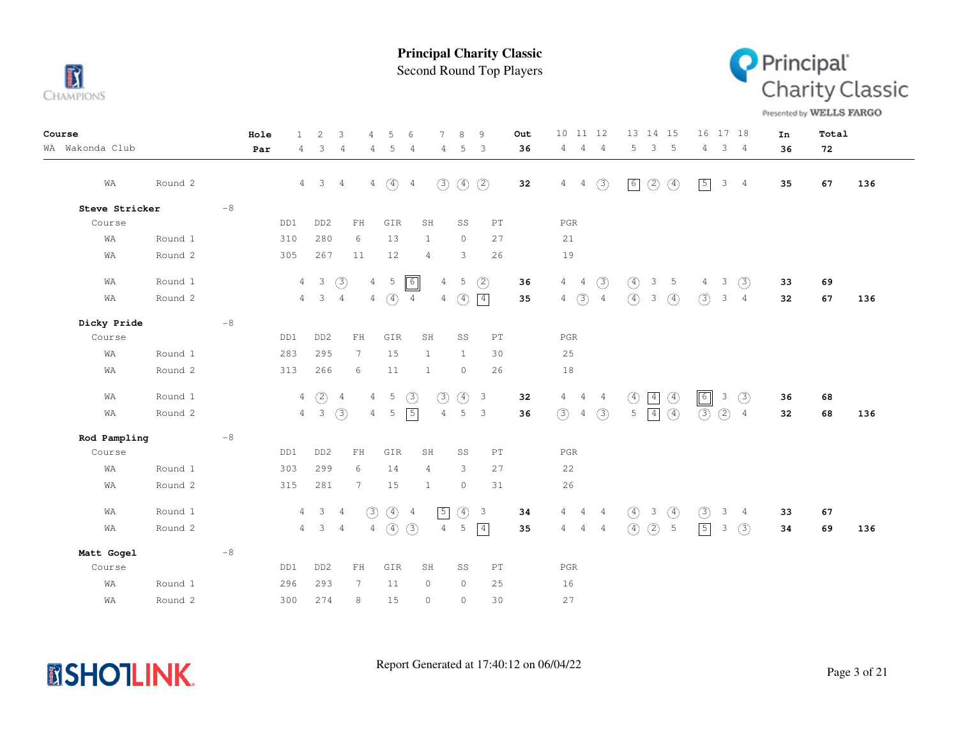

Second Round Top Players



Presented by WELLS FARGO

| Course          |         |      | Hole | $\mathbf{1}$   | 2                       | 3              | $\overline{4}$  | .5            | 6              |                 | 8             | 9                          | Out | 10 <sub>1</sub>                  | 11 12          | 13 14 15                                       | 16 17 18                          | In |    | Total |     |
|-----------------|---------|------|------|----------------|-------------------------|----------------|-----------------|---------------|----------------|-----------------|---------------|----------------------------|-----|----------------------------------|----------------|------------------------------------------------|-----------------------------------|----|----|-------|-----|
| WA Wakonda Club |         |      | Par  | 4              | 3                       | $\overline{4}$ | 4               | 5             | 4              | 4               | 5             | 3                          | 36  | $\overline{4}$<br>4              | $\frac{4}{3}$  | 5<br>3 <sub>5</sub>                            | 3 <sub>4</sub><br>$\overline{4}$  |    | 36 | 72    |     |
| WA              | Round 2 |      |      |                | $4 \quad 3 \quad 4$     |                |                 | $4\quad)$     | $\overline{4}$ | $\circled{3}$   | $\circled{4}$ | (2)                        | 32  | $4\quad 4$                       | $\circled{3}$  | $\circled{2}$<br>$\circled{4}$<br>$\boxed{6}$  | $\sqrt{5}$<br>3<br>$\frac{4}{3}$  |    | 35 | 67    | 136 |
| Steve Stricker  |         | $-8$ |      |                |                         |                |                 |               |                |                 |               |                            |     |                                  |                |                                                |                                   |    |    |       |     |
| Course          |         |      | DD1  |                | DD <sub>2</sub>         |                | ${\rm FH}$      | GIR           |                | SH              | SS            | $\mathop{\rm PT}\nolimits$ |     | PGR                              |                |                                                |                                   |    |    |       |     |
| WA              | Round 1 |      | 310  |                | 280                     |                | 6               | 13            |                | $\mathbf{1}$    | $\circ$       | 27                         |     | 21                               |                |                                                |                                   |    |    |       |     |
| WA              | Round 2 |      | 305  |                | 267                     |                | 11              | 12            |                | 4               | 3             | 26                         |     | 19                               |                |                                                |                                   |    |    |       |     |
| WA              | Round 1 |      |      | $\overline{4}$ | $\overline{\mathbf{3}}$ | $\circled{3}$  |                 | $4\quad 5$    | $\boxed{6}$    | $\overline{4}$  | 5             | (2)                        | 36  | $\overline{4}$<br>$\overline{4}$ | $\circled{3}$  | $\circled{4}$<br>$\mathcal{S}$<br>5            | (3)<br>3<br>4                     |    | 33 | 69    |     |
| WA              | Round 2 |      |      |                | $4 \quad 3$             | $\overline{4}$ | 4               | $\circled{4}$ | $\overline{4}$ | $4\overline{ }$ | $\circled{4}$ | $\boxed{4}$                | 35  | $\circled{3}$<br>$\overline{4}$  | $\overline{4}$ | $\circled{4}$<br>$\circled{4}$<br>3            | (3)<br>3<br>$\frac{4}{3}$         |    | 32 | 67    | 136 |
| Dicky Pride     |         | $-8$ |      |                |                         |                |                 |               |                |                 |               |                            |     |                                  |                |                                                |                                   |    |    |       |     |
| Course          |         |      | DD1  |                | DD <sub>2</sub>         |                | $\mathbf{FH}$   | GIR           |                | SH              | SS            | $\mathop{\rm PT}\nolimits$ |     | PGR                              |                |                                                |                                   |    |    |       |     |
| WA              | Round 1 |      | 283  |                | 295                     |                | $7\phantom{.0}$ | 15            |                | $\mathbf{1}$    | $\mathbf{1}$  | 30                         |     | 25                               |                |                                                |                                   |    |    |       |     |
| WA              | Round 2 |      | 313  |                | 266                     |                | 6               | 11            |                | $\mathbf{1}$    | $\circ$       | 26                         |     | 18                               |                |                                                |                                   |    |    |       |     |
| WA              | Round 1 |      |      | 4              | $\circled{2}$           | $\overline{4}$ | $\overline{4}$  | 5             | (3)            | (3)             | $\circled{4}$ | $\overline{\mathbf{3}}$    | 32  | 4<br>$\overline{4}$              | $\overline{4}$ | $\circled{4}$<br>$\circled{4}$<br>$\boxed{4}$  | $\boxed{6}$<br>$\circled{3}$<br>3 |    | 36 | 68    |     |
| WA              | Round 2 |      |      |                | $4\quad 3$              | (3)            | $\overline{4}$  | 5             | $\sqrt{5}$     | $\overline{4}$  | 5             | $\mathbf{3}$               | 36  | (3)<br>$\overline{4}$            | (3)            | $\circled{4}$<br>$\boxed{4}$<br>5              | (3)<br>(2)<br>$\overline{4}$      |    | 32 | 68    | 136 |
| Rod Pampling    |         | $-8$ |      |                |                         |                |                 |               |                |                 |               |                            |     |                                  |                |                                                |                                   |    |    |       |     |
| Course          |         |      | DD1  |                | DD <sub>2</sub>         |                | $\mathbf{FH}$   | GIR           |                | SH              | SS            | $\mathop{\rm PT}\nolimits$ |     | PGR                              |                |                                                |                                   |    |    |       |     |
| WA              | Round 1 |      | 303  |                | 299                     |                | 6               | 14            |                | $\overline{4}$  | 3             | 27                         |     | 22                               |                |                                                |                                   |    |    |       |     |
| WA              | Round 2 |      | 315  |                | 281                     |                | 7               | 15            |                | $\mathbf{1}$    | $\circ$       | 31                         |     | 26                               |                |                                                |                                   |    |    |       |     |
| WA              | Round 1 |      |      |                | $4 \qquad 3 \qquad 4$   |                | (3)             | $(4)$ 4       |                | $\boxed{5}$     | $\circled{4}$ | $\overline{\mathbf{3}}$    | 34  | $4\quad 4\quad 4$                |                | $\circled{4}$<br>$\circled{4}$<br>$\mathbf{3}$ | (3)<br>3<br>$\frac{4}{3}$         |    | 33 | 67    |     |
| WA              | Round 2 |      |      |                | $4 \quad 3 \quad 4$     |                | $\overline{4}$  | $\circled{4}$ | (3)            | $\overline{4}$  | 5             | $\boxed{4}$                | 35  | $4\quad 4$                       | $\overline{4}$ | $\circled{4}$<br>(2)<br>5                      | $\boxed{5}$<br>$\circled{3}$<br>3 |    | 34 | 69    | 136 |
| Matt Gogel      |         | $-8$ |      |                |                         |                |                 |               |                |                 |               |                            |     |                                  |                |                                                |                                   |    |    |       |     |
| Course          |         |      | DD1  |                | DD <sub>2</sub>         |                | $\mathbf{FH}$   | GIR           |                | SH              | SS            | $\mathop{\rm PT}\nolimits$ |     | PGR                              |                |                                                |                                   |    |    |       |     |
| WA              | Round 1 |      | 296  |                | 293                     |                | $7\phantom{.0}$ | 11            |                | $\circ$         | $\circ$       | 25                         |     | 16                               |                |                                                |                                   |    |    |       |     |
| WA              | Round 2 |      | 300  |                | 274                     |                | 8               | 15            |                | $\circ$         | $\circ$       | 30                         |     | 27                               |                |                                                |                                   |    |    |       |     |

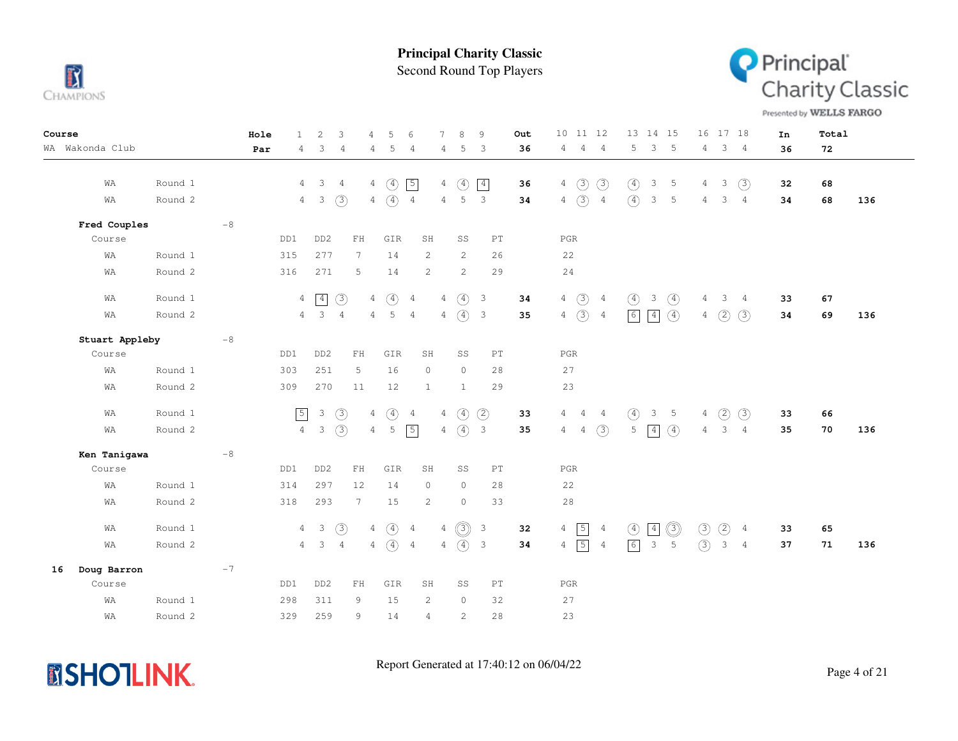

Second Round Top Players



Presented by WELLS FARGO

| Course                    | Hole<br>$\mathbf{1}$ | $\mathbf{2}$<br>3                                                   | 5<br>$\tau$<br>4<br>6                              | 8<br>9<br>Out                                | 10 11 12<br>13 14 15<br>16 17 18<br>In                                                                                           | Total     |
|---------------------------|----------------------|---------------------------------------------------------------------|----------------------------------------------------|----------------------------------------------|----------------------------------------------------------------------------------------------------------------------------------|-----------|
| WA Wakonda Club           | 4<br>Par             | 3<br>$\overline{4}$                                                 | 5<br>4<br>4<br>4                                   | 36<br>5<br>$\overline{\mathbf{3}}$           | $\overline{4}$<br>$\overline{4}$<br>3<br>-5<br>3 <sub>4</sub><br>4<br>5<br>4<br>36                                               | 72        |
|                           |                      |                                                                     |                                                    |                                              |                                                                                                                                  |           |
| WA<br>Round 1             | 4                    | $\overline{\phantom{a}}$<br>$\overline{4}$                          | $4\quad(4)$<br>$\sqrt{5}$                          | $\circled{4}$<br>$\sqrt{4}$<br>36<br>4       | $4\quad)$<br>$\circled{3}$<br>(3)<br>$\circled{4}$<br>3<br>$\overline{5}$<br>4<br>3<br>32                                        | 68        |
| Round 2<br>WA             | $\overline{4}$       | $\overline{\phantom{a}}$<br>(3)                                     | $4\quad)$<br>$\overline{4}$                        | $4\quad 5$<br>$\overline{\phantom{a}}$<br>34 | $4 \quad (3) \quad 4$<br>$\circled{4}$<br>3 <sub>5</sub><br>3 <sub>4</sub><br>$\overline{4}$<br>34                               | 68<br>136 |
| Fred Couples<br>$-8$      |                      |                                                                     |                                                    |                                              |                                                                                                                                  |           |
| Course                    | DD1                  | DD <sub>2</sub><br>${\rm FH}$                                       | GIR<br>SH                                          | SS<br>PT                                     | PGR                                                                                                                              |           |
| Round 1<br>WA             | 315                  | 277<br>$7\phantom{.0}$                                              | 14<br>2                                            | 2<br>26                                      | 22                                                                                                                               |           |
| Round 2<br>WΑ             | 316                  | 271<br>5                                                            | 14<br>2                                            | 2<br>29                                      | 24                                                                                                                               |           |
| Round 1<br>WA             |                      | $4 \overline{4}$<br>(3)                                             | $4\quad(4)$<br>$\overline{4}$                      | $4\quad(4)$ 3<br>34                          | $4\quad)$<br>$3 \quad (4)$<br>$\overline{4}$<br>$\circled{4}$<br>$3 \quad 4$<br>33<br>4                                          | 67        |
| Round 2<br>WA             |                      | $4\quad 3$<br>$\overline{4}$                                        | 5<br>$4 -$<br>$\overline{4}$                       | $4\quad(4)$ 3<br>35                          | $4\quad)$<br>6<br>$\boxed{4}$<br>$\circled{4}$<br>(2)<br>$\overline{4}$<br>$\overline{4}$<br>(3)<br>34                           | 69<br>136 |
|                           |                      |                                                                     |                                                    |                                              |                                                                                                                                  |           |
| $-8$<br>Stuart Appleby    |                      |                                                                     |                                                    |                                              |                                                                                                                                  |           |
| Course                    | DD1                  | DD <sub>2</sub><br>$\mathop{\rm F}\nolimits\mathop{\rm H}\nolimits$ | GIR<br>SH                                          | SS<br>PT                                     | $_{\rm PGR}$                                                                                                                     |           |
| Round 1<br>WA             | 303                  | 251<br>5                                                            | 16<br>$\circ$                                      | $\circ$<br>28                                | 27                                                                                                                               |           |
| Round 2<br>WΑ             | 309                  | 270<br>11                                                           | 12<br>1                                            | $\mathbf{1}$<br>29                           | 23                                                                                                                               |           |
| Round 1<br>WA             | $\sqrt{5}$           | $\mathcal{E}$<br>(3)                                                | $\circled{4}$<br>$4\overline{ }$<br>$\overline{4}$ | $\circ$<br>(2)<br>4<br>33                    | $\circled{4}$<br>3<br>$5\overline{5}$<br>(3)<br>$4 -$<br>$\overline{4}$<br>(2)<br>33<br>4<br>4                                   | 66        |
| Round 2                   | $4\overline{ }$      | $\overline{\phantom{a}}$                                            | $4\quad 5$                                         | $\overline{\mathbf{3}}$                      | $4 -$                                                                                                                            |           |
| WA                        |                      | (3)                                                                 | $\sqrt{5}$                                         | $4\quad(4)$<br>35                            | (3)<br>$\boxed{4}$<br>$\circ$<br>5<br>3 <sub>4</sub><br>4<br>4<br>35                                                             | 70<br>136 |
| Ken Tanigawa<br>$-8$      |                      |                                                                     |                                                    |                                              |                                                                                                                                  |           |
| Course                    | DD1                  | DD <sub>2</sub><br>${\rm FH}$                                       | GIR<br>SH                                          | SS<br>PT                                     | PGR                                                                                                                              |           |
| WA<br>Round 1             | 314                  | 297<br>12                                                           | 14<br>$\circ$                                      | $\circ$<br>28                                | 22                                                                                                                               |           |
| Round 2<br>WΑ             | 318                  | 293<br>$7\phantom{.0}$                                              | 15<br>$\overline{c}$                               | $\circ$<br>33                                | 28                                                                                                                               |           |
|                           |                      |                                                                     |                                                    |                                              |                                                                                                                                  |           |
| Round 1<br>WA             |                      | $\circled{3}$<br>$4 \quad 3$                                        | $4\quad(4)$<br>$\overline{4}$                      | $4$ (3)<br>$\overline{\mathbf{3}}$<br>32     | $4 \overline{5}$<br>$\circledcirc$<br>$\circled{3}$<br>$\circled{2}$<br>$\boxed{4}$<br>$\circled{4}$<br>$\frac{4}{3}$<br>33<br>4 | 65        |
| Round 2<br>WΑ             |                      | $4 \quad 3$<br>$\overline{4}$                                       | $4\quad(4)$ 4                                      | $4\quad(4)$ 3<br>34                          | $4 \overline{5}$<br>(3)<br>$\boxed{6}$<br>$\overline{\mathbf{3}}$<br>5<br>$3 \quad 4$<br>$\overline{4}$<br>37                    | 136<br>71 |
| Doug Barron<br>$-7$<br>16 |                      |                                                                     |                                                    |                                              |                                                                                                                                  |           |
| Course                    | DD1                  | DD <sub>2</sub><br>FH                                               | GIR<br>SH                                          | SS<br>PT                                     | PGR                                                                                                                              |           |
| WΑ<br>Round 1             | 298                  | 311<br>9                                                            | 15<br>2                                            | $\circ$<br>32                                | 27                                                                                                                               |           |
| Round 2<br>WA             | 329                  | 259<br>9                                                            | 14<br>$\overline{4}$                               | $\mathbf{2}$<br>28                           | 23                                                                                                                               |           |

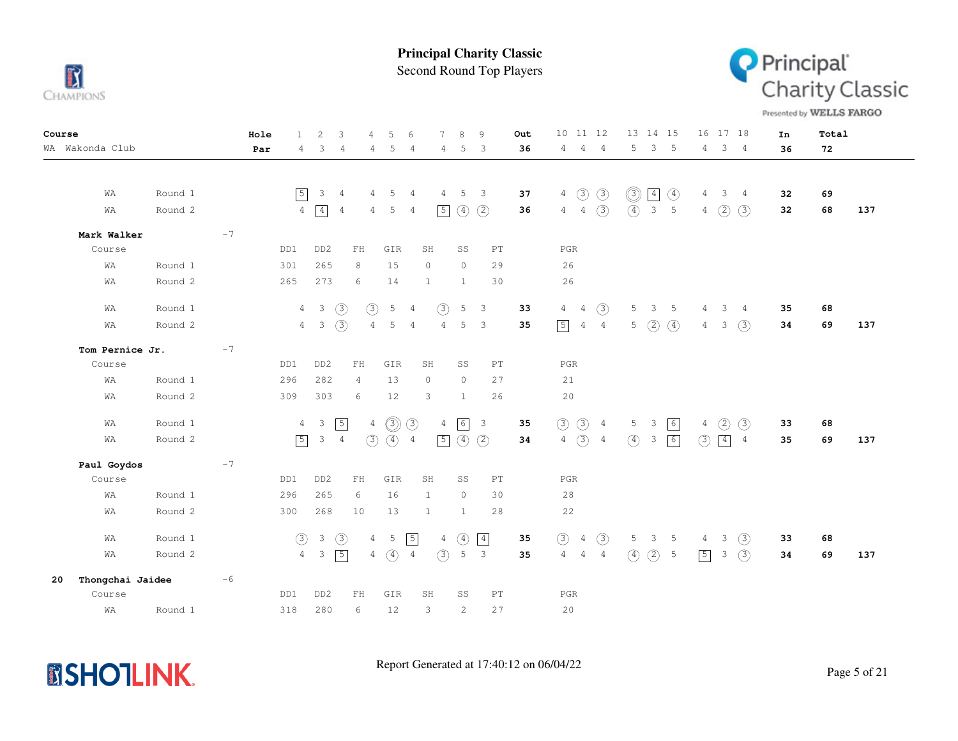

Second Round Top Players



Presented by WELLS FARGO

| Course                         | 2<br>3<br>Hole<br>$\mathbf{1}$                  | 5<br>7<br>8<br>9<br>4<br>6                                                                       | 10 11 12<br>16 17 18<br>13 14 15<br>Out                                                                                                | Total<br>In     |
|--------------------------------|-------------------------------------------------|--------------------------------------------------------------------------------------------------|----------------------------------------------------------------------------------------------------------------------------------------|-----------------|
| WA Wakonda Club                | 3<br>Par<br>4<br>4                              | 5<br>5<br>-3<br>4<br>4<br>4                                                                      | 5 <sup>5</sup><br>3 <sub>5</sub><br>$3 \quad 4$<br>$\overline{4}$<br>$\overline{4}$<br>36<br>4<br>4                                    | 36<br>72        |
|                                |                                                 |                                                                                                  |                                                                                                                                        |                 |
|                                |                                                 |                                                                                                  |                                                                                                                                        |                 |
| Round 1<br>WA                  | $\sqrt{5}$<br>3<br>$\overline{4}$               | 5<br>4<br>-5<br>$\overline{\mathbf{3}}$<br>4<br>4                                                | $\circledS$<br>$4\quad)$<br>$\circled{3}$<br>$\boxed{4}$<br>$\circled{4}$<br>37<br>3 <sub>4</sub><br>4                                 | 32<br>69        |
| Round 2<br>WA                  | $\boxed{4}$<br>$\overline{4}$<br>$\overline{4}$ | $\circled{4}$<br>(2)<br>$\boxed{5}$<br>4 5<br>4                                                  | $4 \quad 4 \quad \textcircled{3}$<br>$\left( \widehat{4}\right)$<br>$\overline{\mathbf{3}}$<br>5<br>$4\quad(2)$<br>(3)<br>36           | 32<br>137<br>68 |
| Mark Walker<br>$-7$            |                                                 |                                                                                                  |                                                                                                                                        |                 |
| Course                         | DD1<br>DD <sub>2</sub><br>${\rm FH}$            | GIR<br>SH<br>SS<br>PT                                                                            | $_{\rm PGR}$                                                                                                                           |                 |
| Round 1<br>WA                  | 301<br>265<br>8                                 | 15<br>$\circ$<br>29<br>$\circ$                                                                   | 26                                                                                                                                     |                 |
| Round 2<br>WA                  | 273<br>265<br>6                                 | 30<br>14<br>1<br>1                                                                               | 26                                                                                                                                     |                 |
|                                |                                                 |                                                                                                  |                                                                                                                                        |                 |
| Round 1<br>WA                  | $\mathbf{3}$<br>(3)<br>$\overline{4}$           | $\circled{3}$<br>5<br>$\circled{3}$<br>5<br>$\overline{\phantom{a}}$<br>$\overline{4}$           | $\circled{3}$<br>33<br>4<br>5<br>$\overline{4}$<br>$3 -$<br>$\overline{5}$<br>$\overline{4}$<br>3 <sub>4</sub>                         | 35<br>68        |
| Round 2<br>WA                  | (3)<br>$4\quad 3$                               | $\mathsf S$<br>5<br>$\overline{4}$<br>$\overline{\mathbf{3}}$<br>$\overline{4}$<br>4             | $\boxed{5}$<br>(2)<br>$\circled{4}$<br>(3)<br>35<br>$4\quad 4$<br>$5 -$<br>3 <sup>7</sup><br>4                                         | 34<br>69<br>137 |
| $-7$<br>Tom Pernice Jr.        |                                                 |                                                                                                  |                                                                                                                                        |                 |
| Course                         | DD1<br>DD <sub>2</sub><br>${\rm FH}$            | GIR<br>SH<br>SS<br>PT                                                                            | $_{\rm PGR}$                                                                                                                           |                 |
| Round 1<br>WA                  | 282<br>296<br>$\overline{4}$                    | 13<br>$\circ$<br>$\circ$<br>27                                                                   | 21                                                                                                                                     |                 |
| Round 2<br>WA                  | 303<br>309<br>6                                 | 12<br>3<br>26<br>$\mathbf{1}$                                                                    | 20                                                                                                                                     |                 |
|                                |                                                 |                                                                                                  |                                                                                                                                        |                 |
| Round 1<br>WA                  | $\mathbf{3}$<br>$\boxed{5}$<br>$\overline{4}$   | $\circledS$<br>$\circled{3}$<br>6<br>$\overline{4}$<br>$\overline{\mathbf{3}}$<br>$\overline{4}$ | (3)<br>$\circled{3}$<br>35<br>5 <sub>1</sub><br>$\boxed{6}$<br>$\circled{2}$<br>$\circled{3}$<br>3<br>$\overline{4}$<br>$\overline{4}$ | 68<br>33        |
| Round 2<br>WA                  | $\sqrt{5}$<br>$\mathbf{3}$<br>$\overline{4}$    | $\boxed{5}$<br>$\circled{4}$<br>(3)<br>$\circled{4}$<br>(2)<br>$\overline{4}$                    | $4\quad)$<br>$\circled{4}$<br>6<br>(3)<br>$\boxed{4}$<br>$\mathcal{S}$<br>34<br>$\overline{4}$<br>$\frac{4}{3}$                        | 35<br>137<br>69 |
| $-7$<br>Paul Goydos            |                                                 |                                                                                                  |                                                                                                                                        |                 |
| Course                         | DD1<br>DD <sub>2</sub><br>${\rm FH}$            | GIR<br>SH<br>SS<br>PT                                                                            | $_{\rm PGR}$                                                                                                                           |                 |
| Round 1<br>WA                  | 296<br>265<br>6                                 | 16<br>$\circledcirc$<br>30<br>$\mathbf{1}$                                                       | 28                                                                                                                                     |                 |
| Round 2<br>WA                  | 300<br>268<br>10                                | 13<br>$\mathbf{1}$<br>28<br>1                                                                    | 22                                                                                                                                     |                 |
|                                |                                                 |                                                                                                  |                                                                                                                                        |                 |
| Round 1<br>WA                  | (3)<br>$\mathcal{E}$<br>(3)                     | $\sqrt{5}$<br>5<br>$\circled{4}$<br>$\boxed{4}$<br>$\overline{4}$<br>$\overline{4}$              | $\circled{3}$<br>$3 \quad (3)$<br>35<br>$\circled{3}$<br>5<br>3 <sub>5</sub><br>4<br>$\overline{4}$                                    | 33<br>68        |
| Round 2<br>WA                  | $\sqrt{5}$<br>$\mathcal{E}$<br>$\overline{4}$   | $4\quad(4)$<br>(3)<br>$\overline{\mathbf{3}}$<br>5<br>$\overline{4}$                             | $3 \quad (3)$<br>35<br>$\overline{4}$<br>(2)<br>$\sqrt{5}$<br>$\overline{4}$<br>$\overline{4}$<br>$\circled{4}$<br>-5                  | 34<br>69<br>137 |
| Thongchai Jaidee<br>$-6$<br>20 |                                                 |                                                                                                  |                                                                                                                                        |                 |
| Course                         | DD <sub>2</sub><br>DD1<br>FH                    | GIR<br><b>SH</b><br>SS<br>PT                                                                     | $_{\rm PGR}$                                                                                                                           |                 |
| WA<br>Round 1                  | 280<br>6<br>318                                 | $\overline{c}$<br>12<br>3<br>27                                                                  | 20                                                                                                                                     |                 |

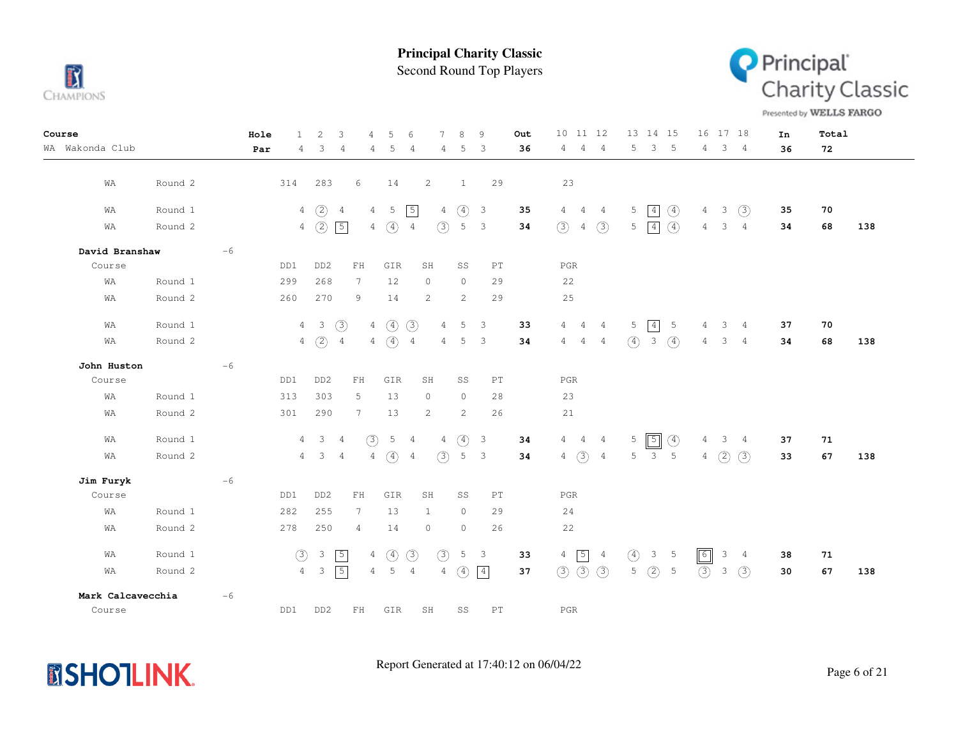

Second Round Top Players



Presented by WELLS FARGO

| Course            |         |      | Hole | $\mathbf{1}$   | $\overline{c}$          | 3              | 4               | 5             | 6              |                 | 8             | 9                       |                            | Out | 10 11 12       |                   |                |               |                | 13 14 15                    | 16             |               | 17 18          | In | Total |     |
|-------------------|---------|------|------|----------------|-------------------------|----------------|-----------------|---------------|----------------|-----------------|---------------|-------------------------|----------------------------|-----|----------------|-------------------|----------------|---------------|----------------|-----------------------------|----------------|---------------|----------------|----|-------|-----|
| WA Wakonda Club   |         |      | Par  | $\overline{4}$ | 3                       | $\overline{4}$ | 4               | 5             | 4              | 4               | 5             | 3                       |                            | 36  | $\overline{4}$ | $\overline{4}$    | $\overline{4}$ | 5             | $\mathcal{E}$  | $-5$                        | $\overline{4}$ |               | 3 <sub>4</sub> | 36 | 72    |     |
|                   |         |      |      |                |                         |                |                 |               |                |                 |               |                         |                            |     |                |                   |                |               |                |                             |                |               |                |    |       |     |
| WA                | Round 2 |      |      | 314            | 283                     |                | 6               | 14            |                | $\overline{c}$  | $\mathbf{1}$  |                         | 29                         |     | 23             |                   |                |               |                |                             |                |               |                |    |       |     |
| WA                | Round 1 |      |      | 4              | (2)                     | $\overline{4}$ | 4               | 5             | $\sqrt{5}$     | $\overline{4}$  | $\circled{4}$ | $\overline{3}$          |                            | 35  | $\overline{4}$ | $\sim$ 4          | $\overline{4}$ | 5             | $\boxed{4}$    | $\circled{4}$               | $\overline{4}$ | 3             | (3)            | 35 | 70    |     |
| WA                | Round 2 |      |      |                | $4\quad)$               | $\boxed{5}$    |                 | $4\quad)$     | $\overline{4}$ | (3)             | 5             | 3                       |                            | 34  | (3)            | 4                 | (3)            |               | $5 \mid 4$     | $\left( \widehat{4}\right)$ | $\overline{4}$ | 3             | $\overline{4}$ | 34 | 68    | 138 |
| David Branshaw    |         | $-6$ |      |                |                         |                |                 |               |                |                 |               |                         |                            |     |                |                   |                |               |                |                             |                |               |                |    |       |     |
| Course            |         |      |      | DD1            | DD <sub>2</sub>         |                | ${\rm FH}$      | GIR           |                | SH              | SS            |                         | PT                         |     | $_{\rm PGR}$   |                   |                |               |                |                             |                |               |                |    |       |     |
| WA                | Round 1 |      |      | 299            | 268                     |                | $7\phantom{.0}$ | 12            |                | $\circ$         | $\circ$       |                         | 29                         |     | 22             |                   |                |               |                |                             |                |               |                |    |       |     |
| WA                | Round 2 |      |      | 260            | 270                     |                | 9               | 14            |                | $\overline{c}$  | 2             |                         | 29                         |     | 25             |                   |                |               |                |                             |                |               |                |    |       |     |
| WA                | Round 1 |      |      |                | $4\quad 3$              | $\circled{3}$  |                 | $4\quad(4)$   | (3)            | $\overline{4}$  | 5             | 3                       |                            | 33  | 4              | $\overline{4}$    | $\overline{4}$ | 5             | $\boxed{4}$    | 5                           | 4              | 3             | $\overline{4}$ | 37 | 70    |     |
| WA                | Round 2 |      |      |                | $4\quad)$               | $\overline{4}$ |                 | $4\quad(4)$   | $\overline{4}$ | $\overline{4}$  | 5             | 3                       |                            | 34  | $\overline{4}$ | $\sim$ 4          | $\overline{4}$ | $\circ$       | $\mathbf{3}$   | $\circ$                     | 4              | 3             | $\frac{4}{3}$  | 34 | 68    | 138 |
| John Huston       |         | $-6$ |      |                |                         |                |                 |               |                |                 |               |                         |                            |     |                |                   |                |               |                |                             |                |               |                |    |       |     |
| Course            |         |      |      | DD1            | DD <sub>2</sub>         |                | ${\rm FH}$      | GIR           |                | SH              | SS            |                         | PT                         |     | $_{\rm PGR}$   |                   |                |               |                |                             |                |               |                |    |       |     |
| WA                | Round 1 |      |      | 313            | 303                     |                | 5               | 13            |                | $\circ$         | $\circ$       |                         | 28                         |     | 23             |                   |                |               |                |                             |                |               |                |    |       |     |
| WA                | Round 2 |      |      | 301            | 290                     |                | $\overline{7}$  | 13            |                | 2               | 2             |                         | 26                         |     | 21             |                   |                |               |                |                             |                |               |                |    |       |     |
| WA                | Round 1 |      |      | $\overline{4}$ | $\overline{\mathbf{3}}$ | $\overline{4}$ | (3)             | $5\quad 4$    |                | $4\overline{ }$ | $\circled{4}$ | $\overline{\mathbf{3}}$ |                            | 34  |                | $4\quad 4\quad 4$ |                | 5             | $\sqrt{5}$     | $\circled{4}$               | 4              | $\mathcal{S}$ | $\frac{4}{3}$  | 37 | 71    |     |
| WA                | Round 2 |      |      | $\overline{4}$ | $\mathbf{3}$            | $\overline{4}$ | 4               | $\circled{4}$ | $\overline{4}$ | (3)             | 5             | 3                       |                            | 34  | $\overline{4}$ | $\circled{3}$     | $\overline{4}$ | 5             | 3              | 5                           | $\overline{4}$ | (2)           | (3)            | 33 | 67    | 138 |
| Jim Furyk         |         | $-6$ |      |                |                         |                |                 |               |                |                 |               |                         |                            |     |                |                   |                |               |                |                             |                |               |                |    |       |     |
| Course            |         |      |      | DD1            | DD <sub>2</sub>         |                | FH              | GIR           |                | SH              | SS            |                         | PT                         |     | $_{\rm PGR}$   |                   |                |               |                |                             |                |               |                |    |       |     |
| WA                | Round 1 |      |      | 282            | 255                     |                | $7\phantom{.0}$ | 13            |                | $\mathbf{1}$    | $\circ$       |                         | 29                         |     | 24             |                   |                |               |                |                             |                |               |                |    |       |     |
| WA                | Round 2 |      |      | 278            | 250                     |                | 4               | 14            |                | $\circ$         | $\circ$       |                         | 26                         |     | 22             |                   |                |               |                |                             |                |               |                |    |       |     |
| WA                | Round 1 |      |      | $\circled{3}$  | $\mathbf{3}$            | $\sqrt{5}$     | $\overline{4}$  | $\circled{4}$ | $\circled{3}$  | (3)             | 5             | 3                       |                            | 33  | $\overline{4}$ | $\sqrt{5}$        | $\overline{4}$ | $\circled{4}$ | 3 <sup>7</sup> | $-5$                        | $\boxed{6}$    | 3             | $\overline{4}$ | 38 | 71    |     |
| WA                | Round 2 |      |      | $4 -$          | $\mathbf{3}$            | $\boxed{5}$    | $4\overline{ }$ | 5             | $\overline{4}$ | $\overline{4}$  | $\circled{4}$ | $\boxed{4}$             |                            | 37  | (3)            | $\circled{3}$     | $\circled{3}$  | 5             | (2)            | 5                           | $\circled{3}$  | 3             | (3)            | 30 | 67    | 138 |
| Mark Calcavecchia |         | $-6$ |      |                |                         |                |                 |               |                |                 |               |                         |                            |     |                |                   |                |               |                |                             |                |               |                |    |       |     |
| Course            |         |      |      | DD1            | DD <sub>2</sub>         |                | $\mathbf{FH}$   | GIR           |                | SH              | SS            |                         | $\mathop{\rm PT}\nolimits$ |     | $_{\rm PGR}$   |                   |                |               |                |                             |                |               |                |    |       |     |

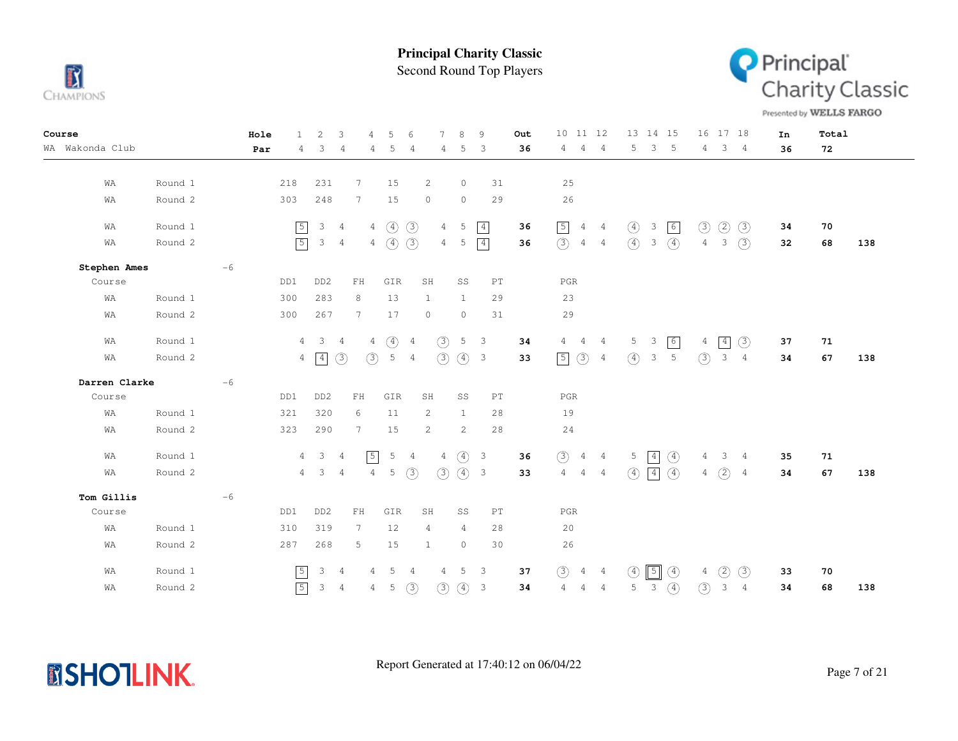

Second Round Top Players



Presented by WELLS FARGO

| Course                | Hole<br>$\mathbf{1}$ | $\overline{c}$<br>3                                        | 4                                                | 5<br>6                  |                                  | 8<br>9                                   |    | 10 11 12<br>Out                        |                | 13 14 15                                      | 16<br>17 18                          | In | Total |     |
|-----------------------|----------------------|------------------------------------------------------------|--------------------------------------------------|-------------------------|----------------------------------|------------------------------------------|----|----------------------------------------|----------------|-----------------------------------------------|--------------------------------------|----|-------|-----|
| WA Wakonda Club       | Par<br>4             | 3<br>$\overline{4}$                                        | 4                                                | 5                       | 4<br>4                           | 5<br>3                                   |    | 36<br>4<br>4                           | $\overline{4}$ | 3<br>5<br>$-5$                                | 3 <sub>4</sub><br>$\overline{4}$     | 36 | 72    |     |
|                       |                      |                                                            |                                                  |                         |                                  |                                          |    |                                        |                |                                               |                                      |    |       |     |
| Round 1<br>WA         | 218                  | 231                                                        | $7\phantom{.0}$                                  | 15                      | 2                                | $\circ$                                  | 31 | 25                                     |                |                                               |                                      |    |       |     |
| Round 2<br>WA         | 303                  | 248                                                        | $\overline{7}$                                   | 15                      | $\circ$                          | $\circ$                                  | 29 | 26                                     |                |                                               |                                      |    |       |     |
| Round 1<br>WA         | $\boxed{5}$          | $3\quad 4$                                                 |                                                  | $4\quad(4)$             | (3)<br>$\overline{4}$            | 5<br>$\boxed{4}$                         |    | $\boxed{5}$<br>36<br>$\overline{4}$    | $\overline{4}$ | $\circled{4}$<br>6<br>$\mathcal{S}$           | $\circled{3}$<br>(3)<br>(2)          | 34 | 70    |     |
| Round 2<br>WA         | $\sqrt{5}$           | $\mathcal{E}$<br>$\overline{4}$                            |                                                  | $4\quad)$               | (3)<br>4                         | $\boxed{4}$<br>5                         |    | $\circled{3}$<br>$\overline{4}$<br>36  | $\overline{4}$ | $\circled{4}$<br>$\circled{4}$<br>3           | (3)<br>$\overline{4}$<br>3           | 32 | 68    | 138 |
| Stephen Ames<br>$-6$  |                      |                                                            |                                                  |                         |                                  |                                          |    |                                        |                |                                               |                                      |    |       |     |
| Course                | DD1                  | DD <sub>2</sub>                                            | $\mathop{\rm F}\nolimits\mathop{\rm H}\nolimits$ | GIR                     | SH                               | SS                                       | PT | $_{\rm PGR}$                           |                |                                               |                                      |    |       |     |
| Round 1<br>WA         | 300                  | 283                                                        | 8                                                | 13                      | $\mathbf{1}$                     | $\mathbf{1}$                             | 29 | 23                                     |                |                                               |                                      |    |       |     |
| Round 2<br>WA         | 300                  | 267                                                        | $7\phantom{.0}$                                  | 17                      | $\circ$                          | $\circ$                                  | 31 | 29                                     |                |                                               |                                      |    |       |     |
| Round 1<br>WA         |                      | $\overline{\mathbf{3}}$<br>$\overline{4}$<br>$\frac{4}{3}$ | $\overline{4}$                                   | $\circled{4}$           | (3)<br>$\overline{4}$            | 5<br>-3                                  |    | 34<br>$4\quad 4$                       | $\frac{4}{3}$  | 6<br>5<br>$\overline{\mathbf{3}}$             | $\boxed{4}$<br>(3)<br>$\overline{4}$ | 37 | 71    |     |
| Round 2<br>WA         |                      | $\circled{3}$<br>$4 \overline{4}$                          | (3)                                              | $5\quad 4$              | (3)                              | $\circled{4}$<br>$\overline{\mathbf{3}}$ |    | $\circled{3}$<br>$\sqrt{5}$<br>33      | $\overline{4}$ | $\circled{4}$<br>5<br>$\mathbf{3}$            | (3)<br>$\mathcal{E}$<br>4            | 34 | 67    | 138 |
| Darren Clarke<br>$-6$ |                      |                                                            |                                                  |                         |                                  |                                          |    |                                        |                |                                               |                                      |    |       |     |
| Course                | DD1                  | DD <sub>2</sub>                                            | ${\rm FH}$                                       | GIR                     | SH                               | SS                                       | PT | PGR                                    |                |                                               |                                      |    |       |     |
| Round 1<br>WA         | 321                  | 320                                                        | 6                                                | 11                      | 2                                | $\mathbf{1}$                             | 28 | 19                                     |                |                                               |                                      |    |       |     |
| Round 2<br>WA         | 323                  | 290                                                        | $7\phantom{.0}$                                  | 15                      | 2                                | 2                                        | 28 | 24                                     |                |                                               |                                      |    |       |     |
| Round 1<br>WA         |                      | $\mathbf{3}$<br>$\overline{4}$<br>$\overline{4}$           | $\sqrt{5}$                                       | $5 -$<br>$\overline{4}$ | $\overline{4}$                   | $\circled{4}$<br>$\overline{\mathbf{3}}$ |    | (3)<br>36<br>$\overline{4}$            | $\overline{4}$ | $\boxed{4}$<br>$\circled{4}$<br>$5^{\circ}$   | 3<br>4<br>$\overline{4}$             | 35 | 71    |     |
| Round 2<br>WA         |                      | $\mathbf{3}$<br>$\overline{4}$<br>$\overline{4}$           | 4                                                | 5                       | (3)<br>(3)                       | $(4)$ 3                                  |    | $\overline{4}$<br>33<br>$\overline{4}$ | $\overline{4}$ | $\circled{4}$<br>$\circled{4}$<br>$\boxed{4}$ | (2)<br>4<br>-4                       | 34 | 67    | 138 |
| $-6$<br>Tom Gillis    |                      |                                                            |                                                  |                         |                                  |                                          |    |                                        |                |                                               |                                      |    |       |     |
| Course                | DD1                  | DD <sub>2</sub>                                            | ${\rm FH}$                                       | GIR                     | SH                               | SS                                       | PT | $_{\rm PGR}$                           |                |                                               |                                      |    |       |     |
| WA<br>Round 1         | 310                  | 319                                                        | 7                                                | 12                      | $\overline{4}$                   | $\overline{4}$                           | 28 | 20                                     |                |                                               |                                      |    |       |     |
| WA<br>Round 2         | 287                  | 268                                                        | 5                                                | 15                      | $\mathbf{1}$                     | $\circ$                                  | 30 | 26                                     |                |                                               |                                      |    |       |     |
| Round 1<br>WA         | $\overline{5}$       | 3<br>$\overline{4}$                                        | 4                                                | -5                      | $\overline{4}$<br>$\overline{4}$ | 5<br>3                                   |    | (3)<br>37<br>4                         | $\overline{4}$ | $\boxed{5}$<br>$\circled{4}$<br>(4)           | (2)<br>(3)<br>4                      | 33 | 70    |     |
| Round 2<br>WA         | $\boxed{5}$          | 3 <sub>4</sub>                                             | 4                                                | 5                       | (3)<br>$\circled{3}$             | $\circled{4}$<br>$\overline{\mathbf{3}}$ |    | 34<br>$\overline{4}$<br>4              | $\overline{4}$ | $\circled{4}$<br>$\mathbf{3}$<br>5            | $\circled{3}$<br>3<br>4              | 34 | 68    | 138 |

**MSHOTLINK.**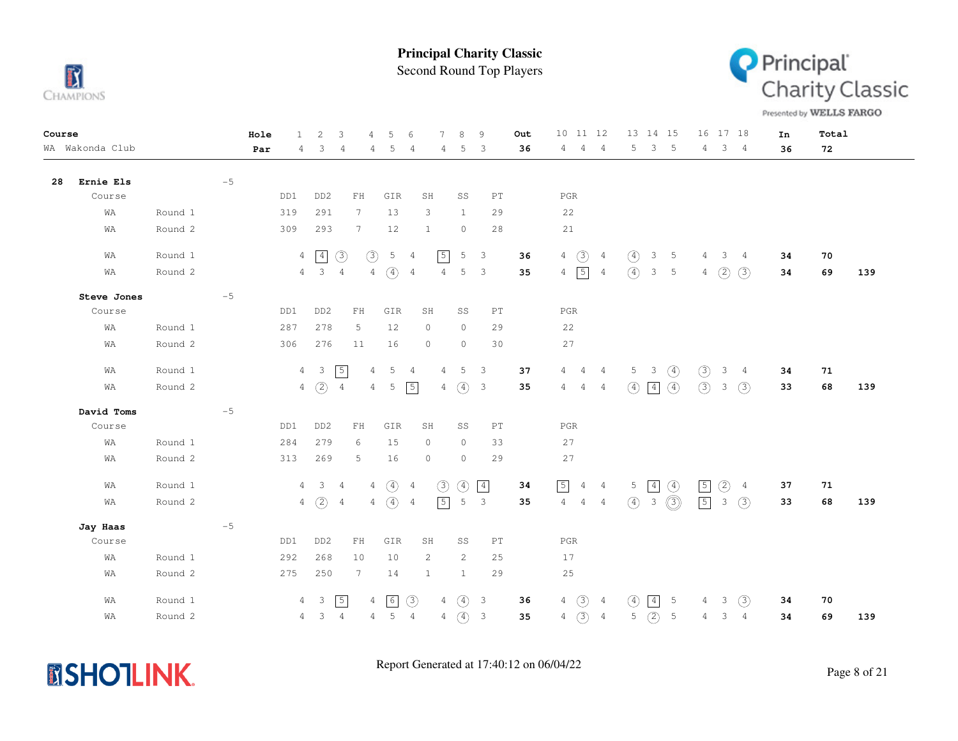

Second Round Top Players



Presented by WELLS FARGO

| Course |                 |         |      | Hole | $\mathbf{1}$   | 2                     | 3               | 4                                                | 5                | 6              | 7              | 8             | 9                          | Out | 10 <sup>°</sup><br>11 12         |                |                  | 13 14 15      |                 | 16             | 17 18         |                | In | Total |     |
|--------|-----------------|---------|------|------|----------------|-----------------------|-----------------|--------------------------------------------------|------------------|----------------|----------------|---------------|----------------------------|-----|----------------------------------|----------------|------------------|---------------|-----------------|----------------|---------------|----------------|----|-------|-----|
|        | WA Wakonda Club |         |      | Par  | 4              | 3                     | $\overline{4}$  | 4                                                | 5                | $\overline{4}$ | 4              | 5             | 3                          | 36  | $\overline{4}$<br>4              | $\overline{4}$ | 5                | 3             | $-5$            | 4              |               | 3 <sub>4</sub> | 36 | 72    |     |
| 28     | Ernie Els       |         | $-5$ |      |                |                       |                 |                                                  |                  |                |                |               |                            |     |                                  |                |                  |               |                 |                |               |                |    |       |     |
|        | Course          |         |      |      | DD1            | DD <sub>2</sub>       |                 | ${\rm FH}$                                       | GIR              |                | SH             | SS            | PT                         |     | $_{\rm PGR}$                     |                |                  |               |                 |                |               |                |    |       |     |
|        | WA              | Round 1 |      |      | 319            | 291                   |                 | $7\phantom{.0}$                                  | 13               |                | 3              | 1             | 29                         |     | 22                               |                |                  |               |                 |                |               |                |    |       |     |
|        | WA              | Round 2 |      |      | 309            | 293                   |                 | $7\phantom{.0}$                                  | 12               |                | 1              | $\circ$       | 28                         |     | 21                               |                |                  |               |                 |                |               |                |    |       |     |
|        | WA              | Round 1 |      |      |                | $4 \mid 4$            | $\circled{3}$   | $\circled{3}$                                    | 5                | $\overline{4}$ | $\sqrt{5}$     | 5             | 3                          | 36  | $\circled{3}$<br>$4\overline{ }$ | $\overline{4}$ | $\circled{4}$    | $\mathcal{S}$ | 5               | 4              | $\mathbf{3}$  | $\frac{4}{3}$  | 34 | 70    |     |
|        | WA              | Round 2 |      |      |                | $4 \qquad 3 \qquad 4$ |                 | $\overline{4}$                                   | $\circ$          | $\overline{4}$ | $\overline{4}$ | 5             | 3                          | 35  | $\sqrt{5}$<br>$4 -$              | $\overline{4}$ | $\left(4\right)$ | $\mathcal{S}$ | $5\phantom{.0}$ | 4              | (2)           | (3)            | 34 | 69    | 139 |
|        | Steve Jones     |         | $-5$ |      |                |                       |                 |                                                  |                  |                |                |               |                            |     |                                  |                |                  |               |                 |                |               |                |    |       |     |
|        | Course          |         |      |      | DD1            | DD <sub>2</sub>       |                 | $\mathop{\rm F}\nolimits\mathop{\rm H}\nolimits$ | GIR              |                | SH             | SS            | $\mathop{\rm PT}\nolimits$ |     | $_{\rm PGR}$                     |                |                  |               |                 |                |               |                |    |       |     |
|        | WA              | Round 1 |      |      | 287            | 278                   |                 | 5                                                | 12               |                | $\circ$        | $\circ$       | 29                         |     | 22                               |                |                  |               |                 |                |               |                |    |       |     |
|        | WA              | Round 2 |      |      | 306            | 276                   |                 | 11                                               | 16               |                | $\circ$        | $\circ$       | 30                         |     | 27                               |                |                  |               |                 |                |               |                |    |       |     |
|        | WA              | Round 1 |      |      |                | $4\quad 3$            | $\sqrt{5}$      | 4                                                | 5                | 4              | 4              | 5             | $\overline{\phantom{a}}$   | 37  | $4\quad 4$                       | $\overline{4}$ |                  | $5 \quad 3$   | $\circled{4}$   | (3)            | 3             | $\frac{4}{3}$  | 34 | 71    |     |
|        | WA              | Round 2 |      |      |                | $4\quad)$             | $\overline{4}$  | $\overline{4}$                                   | 5                | $\sqrt{5}$     | $\overline{4}$ | (4) 3         |                            | 35  | $4\quad 4$                       | -4             | $\circled{4}$    | $\boxed{4}$   | $\circled{4}$   | (3) 3          |               | (3)            | 33 | 68    | 139 |
|        | David Toms      |         | $-5$ |      |                |                       |                 |                                                  |                  |                |                |               |                            |     |                                  |                |                  |               |                 |                |               |                |    |       |     |
|        | Course          |         |      |      | DD1            | DD <sub>2</sub>       |                 | ${\rm FH}$                                       | GIR              |                | SH             | SS            | $\mathop{\rm PT}\nolimits$ |     | $_{\rm PGR}$                     |                |                  |               |                 |                |               |                |    |       |     |
|        | WA              | Round 1 |      |      | 284            | 279                   |                 | 6                                                | 15               |                | $\circ$        | $\circ$       | 33                         |     | 27                               |                |                  |               |                 |                |               |                |    |       |     |
|        | WA              | Round 2 |      |      | 313            | 269                   |                 | 5                                                | 16               |                | $\circ$        | $\circ$       | 29                         |     | 27                               |                |                  |               |                 |                |               |                |    |       |     |
|        | WA              | Round 1 |      |      |                | $4 \quad 3 \quad 4$   |                 | 4                                                | $\left(4\right)$ | $\overline{4}$ | $\circled{3}$  | $\circled{4}$ | $\boxed{4}$                | 34  | $\boxed{5}$                      | 4 4            | 5 <sub>1</sub>   | $\boxed{4}$   | $\circled{4}$   | $\sqrt{5}$     | $\circled{2}$ | $\overline{4}$ | 37 | 71    |     |
|        | WA              | Round 2 |      |      |                | $4\quad)$             | $4\overline{4}$ | $4 -$                                            | $\left(4\right)$ | $\overline{4}$ | $\sqrt{5}$     | 5             | $\mathbf{3}$               | 35  | $4\quad 4$                       | $\overline{4}$ | $\circled{4}$    | $\mathcal{E}$ | $\circledcirc$  | $\boxed{5}$    | $\mathcal{E}$ | $\circled{3}$  | 33 | 68    | 139 |
|        | Jay Haas        |         | $-5$ |      |                |                       |                 |                                                  |                  |                |                |               |                            |     |                                  |                |                  |               |                 |                |               |                |    |       |     |
|        | Course          |         |      |      | DD1            | DD <sub>2</sub>       |                 | $\mathop{\rm F}\nolimits\mathop{\rm H}\nolimits$ | GIR              |                | SH             | SS            | PT                         |     | $_{\rm PGR}$                     |                |                  |               |                 |                |               |                |    |       |     |
|        | WA              | Round 1 |      |      | 292            | 268                   |                 | 10                                               | 10               |                | 2              | 2             | 25                         |     | 17                               |                |                  |               |                 |                |               |                |    |       |     |
|        | WΑ              | Round 2 |      |      | 275            | 250                   |                 | $7\phantom{.0}$                                  | 14               |                | $\mathbf{1}$   | $\mathbf{1}$  | 29                         |     | 25                               |                |                  |               |                 |                |               |                |    |       |     |
|        | WA              | Round 1 |      |      | $\overline{4}$ | $\mathbf{3}$          | $\sqrt{5}$      | $\overline{4}$                                   | 6                | (3)            | $\overline{4}$ | $\circled{4}$ | $\overline{3}$             | 36  | (3)<br>$\overline{4}$            | $\overline{4}$ | $\circled{4}$    | 4             | 5               | 4              | 3             | (3)            | 34 | 70    |     |
|        | WA              | Round 2 |      |      |                | 4 3                   | $\overline{4}$  | $\overline{4}$                                   | $\mathsf S$      | $\overline{4}$ | $\overline{4}$ | $\circled{4}$ | $\mathbf{3}$               | 35  | $\circled{3}$<br>$\overline{4}$  | $\overline{4}$ | 5                | (2)           | $\mathsf S$     | $\overline{4}$ | 3             | $\overline{4}$ | 34 | 69    | 139 |

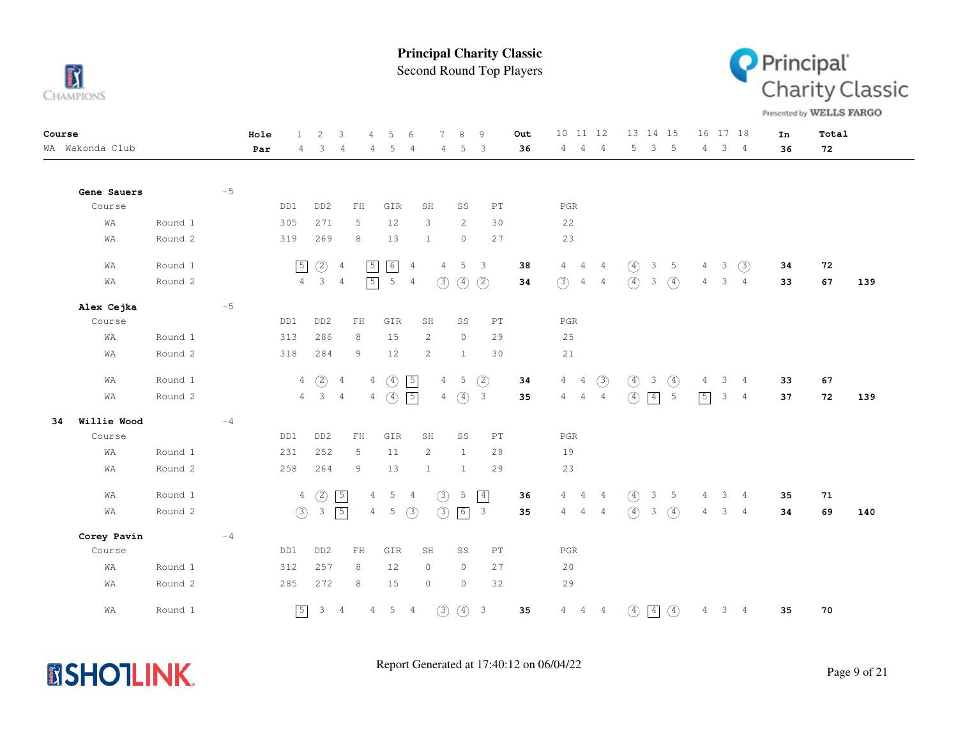

Second Round Top Players



Presented by WELLS FARGO

| Course |                 |         |      | Hole | $\mathbf{1}$   | 2                   | 3              | 4                          | 5                         | 6              | 7                     | 8             | 9                          | Out | 10 11 12                         |                |               | 13 14 15                |                 |                | 16 17 18 |                 | In | Total |     |
|--------|-----------------|---------|------|------|----------------|---------------------|----------------|----------------------------|---------------------------|----------------|-----------------------|---------------|----------------------------|-----|----------------------------------|----------------|---------------|-------------------------|-----------------|----------------|----------|-----------------|----|-------|-----|
|        | WA Wakonda Club |         |      | Par  | 4              | 3                   | 4              | 4                          | 5                         | 4              | $\overline{4}$        | 5             | -3                         | 36  | 4<br>$\overline{4}$              | $\frac{4}{3}$  | 5             | 3                       | 5               | $4 -$          | 3        | $\overline{4}$  | 36 | 72    |     |
|        |                 |         |      |      |                |                     |                |                            |                           |                |                       |               |                            |     |                                  |                |               |                         |                 |                |          |                 |    |       |     |
|        | Gene Sauers     |         | $-5$ |      |                |                     |                |                            |                           |                |                       |               |                            |     |                                  |                |               |                         |                 |                |          |                 |    |       |     |
|        | Course          |         |      |      | DD1            | DD <sub>2</sub>     |                | ${\rm FH}$                 | GIR                       |                | SH                    | SS            | $\mathop{\rm PT}\nolimits$ |     | $_{\rm PGR}$                     |                |               |                         |                 |                |          |                 |    |       |     |
|        | WA              | Round 1 |      |      | 305            | 271                 |                | 5                          | 12                        |                | 3                     | 2             | 30                         |     | 22                               |                |               |                         |                 |                |          |                 |    |       |     |
|        | WA              | Round 2 |      |      | 319            | 269                 |                | 8                          | 13                        |                | $\mathbf{1}$          | $\circ$       | 27                         |     | 23                               |                |               |                         |                 |                |          |                 |    |       |     |
|        | WA              | Round 1 |      |      | $\boxed{5}$    | $\circled{2}$       | $\overline{4}$ | $\sqrt{5}$                 | $\boxed{6}$               | $\overline{4}$ | $\overline{4}$        | 5             | $\overline{\mathbf{3}}$    | 38  | $\overline{4}$<br>$\overline{4}$ | 4              | $\circled{4}$ | 3                       | 5               | 4              | 3        | (3)             | 34 | 72    |     |
|        | WA              | Round 2 |      |      | $4 -$          | $3 -$               | $\overline{4}$ | $\sqrt{5}$                 | $5\phantom{.0}$           | 4              | (3)                   | $\circled{4}$ | (2)                        | 34  | (3)<br>$\overline{4}$            | $\overline{4}$ | $\circled{4}$ | $\mathcal{S}$           | $\circled{4}$   | 4              | 3        | 4               | 33 | 67    | 139 |
|        | Alex Cejka      |         | $-5$ |      |                |                     |                |                            |                           |                |                       |               |                            |     |                                  |                |               |                         |                 |                |          |                 |    |       |     |
|        | Course          |         |      |      | DD1            | DD <sub>2</sub>     |                | $\mathbb{F} \, \mathbb{H}$ | GIR                       |                | SH                    | SS            | $\mathop{\rm PT}\nolimits$ |     | $_{\rm PGR}$                     |                |               |                         |                 |                |          |                 |    |       |     |
|        | WA              | Round 1 |      |      | 313            | 286                 |                | 8                          | 15                        |                | $\mathbf{2}^{\prime}$ | $\circ$       | 29                         |     | 25                               |                |               |                         |                 |                |          |                 |    |       |     |
|        | WA              | Round 2 |      |      | 318            | 284                 |                | 9                          | 12                        |                | $\mathbf{2}$          | $\mathbf{1}$  | 30                         |     | 21                               |                |               |                         |                 |                |          |                 |    |       |     |
|        | WA              | Round 1 |      |      |                | $4\quad)$           | $\overline{4}$ |                            | $4\quad)$                 | $\sqrt{5}$     | $\overline{4}$        | 5             | $\circled{2}$              | 34  | $\overline{4}$<br>$\overline{4}$ | $\circled{3}$  | $\circ$       | $\overline{\mathbf{3}}$ | $\circled{4}$   | 4              | 3        | 4               | 33 | 67    |     |
|        | WA              | Round 2 |      |      |                | $4 \quad 3 \quad 4$ |                |                            | $4\quad(4)\quad\boxed{5}$ |                | $\overline{4}$        | (4) 3         |                            | 35  | $\overline{4}$<br>$4\quad 4$     |                | $\circled{4}$ | $\boxed{4}$             | $5\phantom{.0}$ | $\sqrt{5}$     | 3        | 4               | 37 | 72    | 139 |
| 34     | Willie Wood     |         | $-4$ |      |                |                     |                |                            |                           |                |                       |               |                            |     |                                  |                |               |                         |                 |                |          |                 |    |       |     |
|        | Course          |         |      |      | DD1            | DD <sub>2</sub>     |                | $\mathbb{F} \, \mathbb{H}$ | GIR                       |                | SH                    | SS            | $\mathop{\rm PT}\nolimits$ |     | $_{\rm PGR}$                     |                |               |                         |                 |                |          |                 |    |       |     |
|        | WA              | Round 1 |      |      | 231            | 252                 |                | 5                          | 11                        |                | 2                     | $\mathbf{1}$  | 28                         |     | 19                               |                |               |                         |                 |                |          |                 |    |       |     |
|        | WΑ              | Round 2 |      |      | 258            | 264                 |                | 9                          | 13                        |                | $\mathbf{1}$          | $\mathbf{1}$  | 29                         |     | 23                               |                |               |                         |                 |                |          |                 |    |       |     |
|        | WA              | Round 1 |      |      | $\overline{4}$ | $\circled{2}$       | $\sqrt{5}$     | 4                          | 5                         | $\overline{4}$ | $\circled{3}$         | 5             | $\boxed{4}$                | 36  | $\overline{4}$<br>$4\quad 4$     |                | $\circ$       | $\mathcal{E}$           | $5\overline{)}$ | $\overline{4}$ | 3        | $4\overline{ }$ | 35 | 71    |     |
|        | WA              | Round 2 |      |      | (3)            | $\mathcal{E}$       | $\sqrt{5}$     | $\overline{4}$             | 5                         | (3)            | (3)                   | 6             | $\overline{\mathbf{3}}$    | 35  | $\overline{4}$<br>$4\quad 4$     |                | $\circled{4}$ | $\mathbf{3}$            | $\circled{4}$   | 4              | 3        | $\overline{4}$  | 34 | 69    | 140 |
|        | Corey Pavin     |         | $-4$ |      |                |                     |                |                            |                           |                |                       |               |                            |     |                                  |                |               |                         |                 |                |          |                 |    |       |     |
|        | Course          |         |      |      | DD1            | DD <sub>2</sub>     |                | ${\rm FH}$                 | GIR                       |                | SH                    | SS            | $\mathop{\rm PT}\nolimits$ |     | $_{\rm PGR}$                     |                |               |                         |                 |                |          |                 |    |       |     |
|        | WA              | Round 1 |      |      | 312            | 257                 |                | 8                          | 12                        |                | $\circ$               | $\circ$       | 27                         |     | 20                               |                |               |                         |                 |                |          |                 |    |       |     |
|        | WA              | Round 2 |      |      | 285            | 272                 |                | 8                          | 15                        |                | $\circ$               | $\circ$       | 32                         |     | 29                               |                |               |                         |                 |                |          |                 |    |       |     |
|        | WA              | Round 1 |      |      | $\sqrt{5}$     | 3 <sub>4</sub>      |                | $\overline{4}$             | 5                         | 4              | (3)                   | $\circled{4}$ | $\overline{\phantom{a}}$   | 35  | 4 4                              | $\overline{4}$ | $\circled{4}$ | $\boxed{4}$             | $\circled{4}$   | 4              | 3        | 4               | 35 | 70    |     |

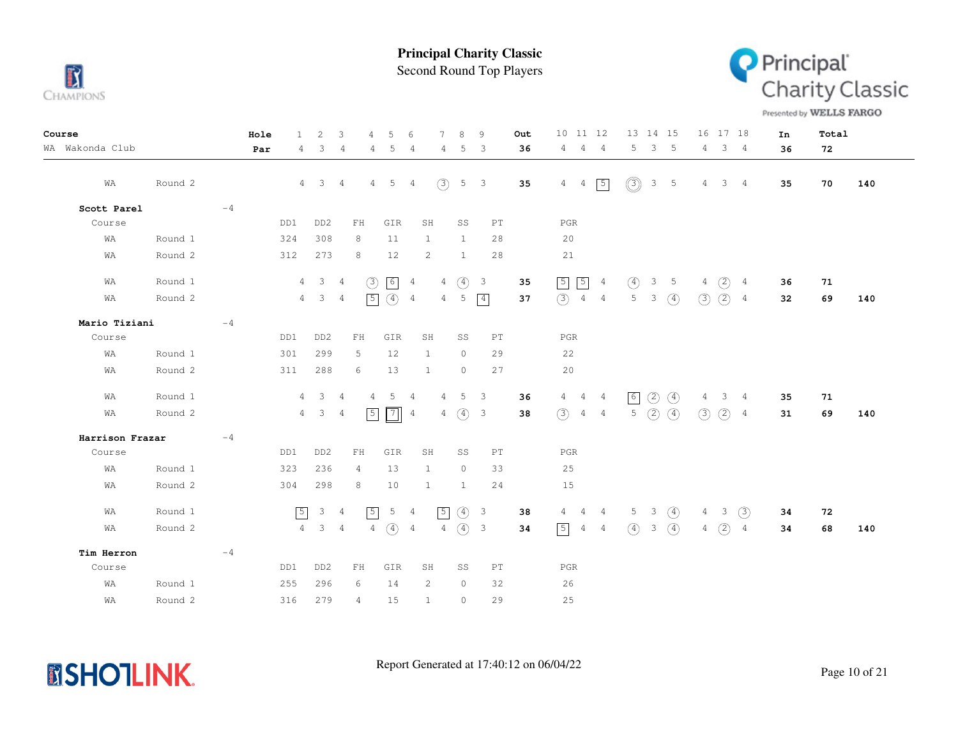

Second Round Top Players



Presented by WELLS FARGO

| Course          |         | Hole | 1.             | 2                     | 3              | $\overline{4}$                                   | 5               | 6              | $\tau$         | 8<br>9                                   |                            | Out | 10 11 12                      |                |                | 13 14 15      |                 |                | 16 17 18       |                | In | Total |     |
|-----------------|---------|------|----------------|-----------------------|----------------|--------------------------------------------------|-----------------|----------------|----------------|------------------------------------------|----------------------------|-----|-------------------------------|----------------|----------------|---------------|-----------------|----------------|----------------|----------------|----|-------|-----|
| WA Wakonda Club |         | Par  | 4              | 3                     | 4              | 4                                                | 5               | $\overline{4}$ | 4              | 5                                        | 3                          | 36  | $\overline{4}$<br>4           | - 4            | 5              |               | 3 <sub>5</sub>  | 4              | 3 <sub>4</sub> |                | 36 | 72    |     |
| WA              | Round 2 |      |                | $4 \quad 3 \quad 4$   |                | 4                                                | 5               | 4              | (3)            | $5 \quad 3$                              |                            | 35  | $4\quad 4$                    | $\boxed{5}$    | $\circledcirc$ | $\mathcal{S}$ | $5\phantom{0}$  | $\overline{4}$ | 3 <sub>4</sub> |                | 35 | 70    | 140 |
| Scott Parel     |         | $-4$ |                |                       |                |                                                  |                 |                |                |                                          |                            |     |                               |                |                |               |                 |                |                |                |    |       |     |
| Course          |         |      | DD1            | DD <sub>2</sub>       |                | FH                                               | GIR             | SH             |                | SS                                       | PT                         |     | PGR                           |                |                |               |                 |                |                |                |    |       |     |
| WA              | Round 1 |      | 324            | 308                   |                | 8                                                | 11              | 1              |                | 1                                        | 28                         |     | 20                            |                |                |               |                 |                |                |                |    |       |     |
| WA              | Round 2 |      | 312            | 273                   |                | 8                                                | 12              | $\overline{c}$ |                | 1                                        | 28                         |     | 21                            |                |                |               |                 |                |                |                |    |       |     |
| WA              | Round 1 |      |                | $4 \qquad 3 \qquad 4$ |                | (3)                                              | $\boxed{6}$ 4   |                | $4 -$          | $\circled{4}$<br>$\overline{\mathbf{3}}$ |                            | 35  | $\sqrt{5}$<br>$\sqrt{5}$      | $\overline{4}$ | $\circled{4}$  | $\mathcal{S}$ | $5\phantom{.0}$ | $\overline{4}$ | (2)            | 4              | 36 | 71    |     |
| WA              | Round 2 |      |                | $4\quad 3$            | $\overline{4}$ | $\sqrt{5}$                                       | $(4)$ 4         |                | 4              | 5                                        | $\boxed{4}$                | 37  | $(3)$ 4 4                     |                | 5              | $\mathcal{S}$ | $\circled{4}$   | (3)            | (2)            | 4              | 32 | 69    | 140 |
| Mario Tiziani   |         | $-4$ |                |                       |                |                                                  |                 |                |                |                                          |                            |     |                               |                |                |               |                 |                |                |                |    |       |     |
| Course          |         |      | DD1            | DD <sub>2</sub>       |                | ${\rm FH}$                                       | GIR             | SH             |                | SS                                       | $\mathop{\rm PT}\nolimits$ |     | PGR                           |                |                |               |                 |                |                |                |    |       |     |
| WA              | Round 1 |      | 301            | 299                   |                | 5                                                | 12              | 1              |                | $\circ$                                  | 29                         |     | 22                            |                |                |               |                 |                |                |                |    |       |     |
| WA              | Round 2 |      | 311            | 288                   |                | 6                                                | 13              | 1              |                | $\circ$                                  | 27                         |     | 20                            |                |                |               |                 |                |                |                |    |       |     |
| WA              | Round 1 |      | 4              | $\mathcal{S}$         | $\overline{4}$ | 4                                                | 5               | 4              | 4              | 5                                        | $\mathbf{3}$               | 36  | $4\quad 4$                    | $\overline{4}$ | 6              | (2)           | $\circled{4}$   | 4              | 3              | 4              | 35 | 71    |     |
| WA              | Round 2 |      | 4              | 3                     | $\overline{4}$ | $\sqrt{5}$                                       | $\boxed{7}$     | $\overline{4}$ | 4              | $\circled{4}$                            | $\overline{\mathbf{3}}$    | 38  | (3)<br>$\overline{4}$         | $\overline{4}$ | 5              | (2)           | $\circled{4}$   | $\circled{3}$  | (2)            | $\overline{4}$ | 31 | 69    | 140 |
| Harrison Frazar |         | $-4$ |                |                       |                |                                                  |                 |                |                |                                          |                            |     |                               |                |                |               |                 |                |                |                |    |       |     |
| Course          |         |      | DD1            | DD <sub>2</sub>       |                | ${\rm FH}$                                       | GIR             | SH             |                | SS                                       | $\mathop{\rm PT}\nolimits$ |     | $_{\rm PGR}$                  |                |                |               |                 |                |                |                |    |       |     |
| WA              | Round 1 |      | 323            | 236                   |                | 4                                                | 13              | 1              |                | $\circ$                                  | 33                         |     | 25                            |                |                |               |                 |                |                |                |    |       |     |
| WA              | Round 2 |      | 304            | 298                   |                | 8                                                | 10              | 1              |                | -1                                       | 24                         |     | 15                            |                |                |               |                 |                |                |                |    |       |     |
| WA              | Round 1 |      | $\sqrt{5}$     | $3 \quad 4$           |                | $\sqrt{5}$                                       | $5\overline{)}$ | $\overline{4}$ | $\boxed{5}$    | $\circ$<br>$\overline{\mathbf{3}}$       |                            | 38  | $4\quad 4\quad 4$             |                |                | $5 \quad 3$   | $\circ$         |                | $4 \quad 3$    | $\circled{3}$  | 34 | 72    |     |
| WA              | Round 2 |      | $4\phantom{0}$ | 3 <sup>7</sup>        | $\overline{4}$ | $\overline{4}$                                   | $\circled{4}$   | 4              | $\overline{4}$ | $\circ$<br>$\overline{\mathbf{3}}$       |                            | 34  | $\boxed{5}$<br>$\overline{4}$ | $\overline{4}$ | $\circ$        | 3             | $\circled{4}$   | $\overline{4}$ | (2)            | $\overline{4}$ | 34 | 68    | 140 |
| Tim Herron      |         | $-4$ |                |                       |                |                                                  |                 |                |                |                                          |                            |     |                               |                |                |               |                 |                |                |                |    |       |     |
| Course          |         |      | DD1            | DD <sub>2</sub>       |                | $\mathop{\rm F}\nolimits\mathop{\rm H}\nolimits$ | GIR             | SH             |                | SS                                       | $\mathop{\rm PT}\nolimits$ |     | $_{\rm PGR}$                  |                |                |               |                 |                |                |                |    |       |     |
| WA              | Round 1 |      | 255            | 296                   |                | 6                                                | 14              | 2              |                | $\circ$                                  | 32                         |     | 26                            |                |                |               |                 |                |                |                |    |       |     |
| WA              | Round 2 |      | 316            | 279                   |                | 4                                                | 15              | 1              |                | $\circ$                                  | 29                         |     | 25                            |                |                |               |                 |                |                |                |    |       |     |

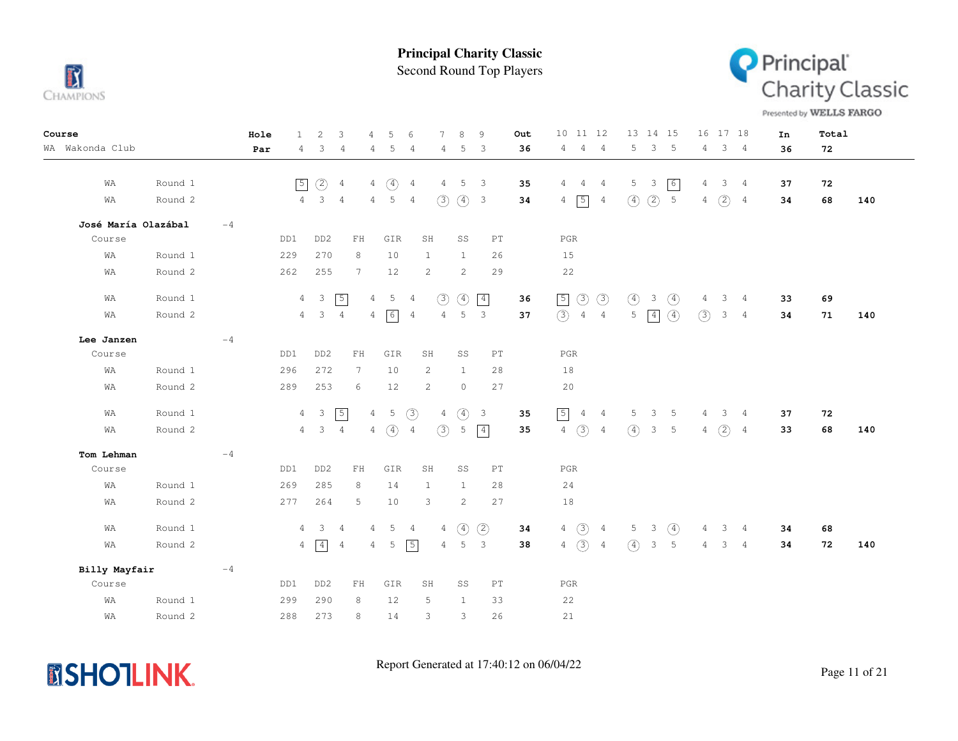

Second Round Top Players



Presented by WELLS FARGO

| Course          |                     |      | Hole<br>$\mathbf{1}$  | 2                       | 3               | 4               | 5               | 6              | 7              | 8              | 9                        | <b>Out</b> | 10 11 12                                            | 13 14 15                                           | 16 17 18                                | In | Total |     |
|-----------------|---------------------|------|-----------------------|-------------------------|-----------------|-----------------|-----------------|----------------|----------------|----------------|--------------------------|------------|-----------------------------------------------------|----------------------------------------------------|-----------------------------------------|----|-------|-----|
| WA Wakonda Club |                     |      | Par<br>$\overline{4}$ | 3                       | 4               | 4               | 5               | 4              | 4              | 5              | $\overline{\mathbf{3}}$  | 36         | 4<br>$\overline{4}$<br>$\overline{4}$               | 5<br>$3 -$<br>5                                    | 3 <sub>4</sub><br>4                     | 36 | 72    |     |
|                 |                     |      |                       |                         |                 |                 |                 |                |                |                |                          |            |                                                     |                                                    |                                         |    |       |     |
| WA              | Round 1             |      | 5                     | (2)                     | $\overline{4}$  | $\overline{4}$  | $\circled{4}$   | $\overline{4}$ | 4              | 5              | $\overline{\mathbf{3}}$  | 35         | 4<br>$\overline{4}$<br>4                            | 6<br>5<br>3                                        | 3<br>$\overline{4}$<br>4                | 37 | 72    |     |
| WΑ              | Round 2             |      | $\overline{4}$        | $\overline{\mathbf{3}}$ | $\frac{4}{3}$   | $\overline{4}$  | $5\overline{5}$ | $\overline{4}$ | (3)            | $(4)$ 3        |                          | 34         | $5\overline{)}$<br>$\overline{4}$<br>$\overline{4}$ | (2)<br>$\mathsf S$<br>$\circled{4}$                | (2)<br>4<br>$\overline{4}$              | 34 | 68    | 140 |
|                 | José María Olazábal | $-4$ |                       |                         |                 |                 |                 |                |                |                |                          |            |                                                     |                                                    |                                         |    |       |     |
| Course          |                     |      | DD1                   | DD <sub>2</sub>         | FH              |                 | GIR             |                | SH             | SS             | PT                       |            | $_{\rm PGR}$                                        |                                                    |                                         |    |       |     |
| WΑ              | Round 1             |      | 229                   | 270                     | 8               |                 | 10              |                | $\mathbf{1}$   | $\mathbf{1}$   | 26                       |            | 15                                                  |                                                    |                                         |    |       |     |
| WΑ              | Round 2             |      | 262                   | 255                     | 7               |                 | 12              |                | 2              | 2              | 29                       |            | 22                                                  |                                                    |                                         |    |       |     |
| WΑ              | Round 1             |      | $\overline{4}$        | $\overline{\mathbf{3}}$ | $\sqrt{5}$      | $4\overline{ }$ | 5               | $\overline{4}$ | (3)            | $\circled{4}$  | $\boxed{4}$              | 36         | $\boxed{5}$<br>$\circled{3}$<br>$\circled{3}$       | $\circled{4}$<br>$\circled{4}$<br>3                | 3<br>$\overline{4}$<br>4                | 33 | 69    |     |
| WΑ              | Round 2             |      |                       | $4 \quad 3$             | $\overline{4}$  | 4               | 6               | 4              | $\overline{4}$ | 5              | $\overline{\phantom{a}}$ | 37         | $\circled{3}$<br>$4\quad 4$                         | 5<br>$\circled{4}$<br>$\vert 4 \vert$              | (3)<br>3 <sub>4</sub>                   | 34 | 71    | 140 |
|                 |                     |      |                       |                         |                 |                 |                 |                |                |                |                          |            |                                                     |                                                    |                                         |    |       |     |
| Lee Janzen      |                     | $-4$ |                       |                         |                 |                 |                 |                |                |                |                          |            |                                                     |                                                    |                                         |    |       |     |
| Course          |                     |      | DD1                   | DD <sub>2</sub>         | ${\rm FH}$      |                 | GIR             |                | SH             | SS             | PT                       |            | $_{\rm PGR}$                                        |                                                    |                                         |    |       |     |
| WA              | Round 1             |      | 296                   | 272                     | $7\phantom{.0}$ |                 | 10              |                | 2              | $\mathbf{1}$   | 28                       |            | 18                                                  |                                                    |                                         |    |       |     |
| WA              | Round 2             |      | 289                   | 253                     | 6               |                 | 12              |                | 2              | $\circ$        | 27                       |            | 20                                                  |                                                    |                                         |    |       |     |
| WA              | Round 1             |      | $\overline{4}$        | $\overline{\mathbf{3}}$ | $\boxed{5}$     | $\overline{4}$  | 5               | (3)            | $\overline{4}$ | ④              | $\overline{\mathbf{3}}$  | 35         | $\boxed{5}$<br>$\overline{4}$<br>$\overline{4}$     | 5<br>3<br>5                                        | 3 <sub>4</sub><br>4                     | 37 | 72    |     |
| WA              | Round 2             |      |                       | $4 \quad 3$             | $\overline{4}$  | $\overline{4}$  | $\circled{4}$   | $\overline{4}$ | (3)            | 5              | $\vert 4 \vert$          | 35         | $\circled{3}$<br>$\overline{4}$<br>$\overline{4}$   | $\circled{4}$<br>3 <sup>7</sup><br>$5\phantom{.0}$ | (2)<br>$\overline{4}$<br>$\overline{4}$ | 33 | 68    | 140 |
| Tom Lehman      |                     | $-4$ |                       |                         |                 |                 |                 |                |                |                |                          |            |                                                     |                                                    |                                         |    |       |     |
| Course          |                     |      | DD1                   | DD <sub>2</sub>         | ${\rm FH}$      |                 | GIR             |                | SH             | SS             | PT                       |            | $_{\rm PGR}$                                        |                                                    |                                         |    |       |     |
| WA              | Round 1             |      | 269                   | 285                     | 8               |                 | 14              |                | $\mathbf{1}$   | $\mathbf{1}$   | 28                       |            | 24                                                  |                                                    |                                         |    |       |     |
| WΑ              | Round 2             |      | 277                   | 264                     | 5               |                 | $10$            |                | 3              | 2              | 27                       |            | 18                                                  |                                                    |                                         |    |       |     |
| WA              | Round 1             |      | $\overline{4}$        | $\overline{\mathbf{3}}$ | 4               | 4               | -5              | $\overline{4}$ | $\overline{4}$ | $\circled{4}$  | (2)                      | 34         | $4\quad)$<br>$\frac{4}{3}$                          | $5 \quad 3$<br>$\circled{4}$                       | $3 -$<br>$\overline{4}$<br>4            | 34 | 68    |     |
| WA              | Round 2             |      | $\overline{4}$        | $\boxed{4}$             | $\frac{4}{3}$   | 4               | 5               | $\sqrt{5}$     | $\overline{4}$ | $5\phantom{0}$ | $\overline{\mathbf{3}}$  | 38         | $4\quad(3)$<br>$\overline{4}$                       | $\circ$<br>3 <sub>5</sub>                          | 3 <sub>4</sub><br>4                     | 34 | 72    | 140 |
|                 |                     |      |                       |                         |                 |                 |                 |                |                |                |                          |            |                                                     |                                                    |                                         |    |       |     |
| Billy Mayfair   |                     | $-4$ |                       |                         |                 |                 |                 |                |                |                |                          |            |                                                     |                                                    |                                         |    |       |     |
| Course          |                     |      | DD1                   | DD <sub>2</sub>         | FH              |                 | GIR             |                | SH             | SS             | PT                       |            | $_{\rm PGR}$                                        |                                                    |                                         |    |       |     |
| WA              | Round 1             |      | 299                   | 290                     | 8               |                 | 12              |                | 5              | $\mathbf{1}$   | 33                       |            | 22                                                  |                                                    |                                         |    |       |     |
| WΑ              | Round 2             |      | 288                   | 273                     | 8               |                 | 14              |                | 3              | 3              | 26                       |            | 21                                                  |                                                    |                                         |    |       |     |

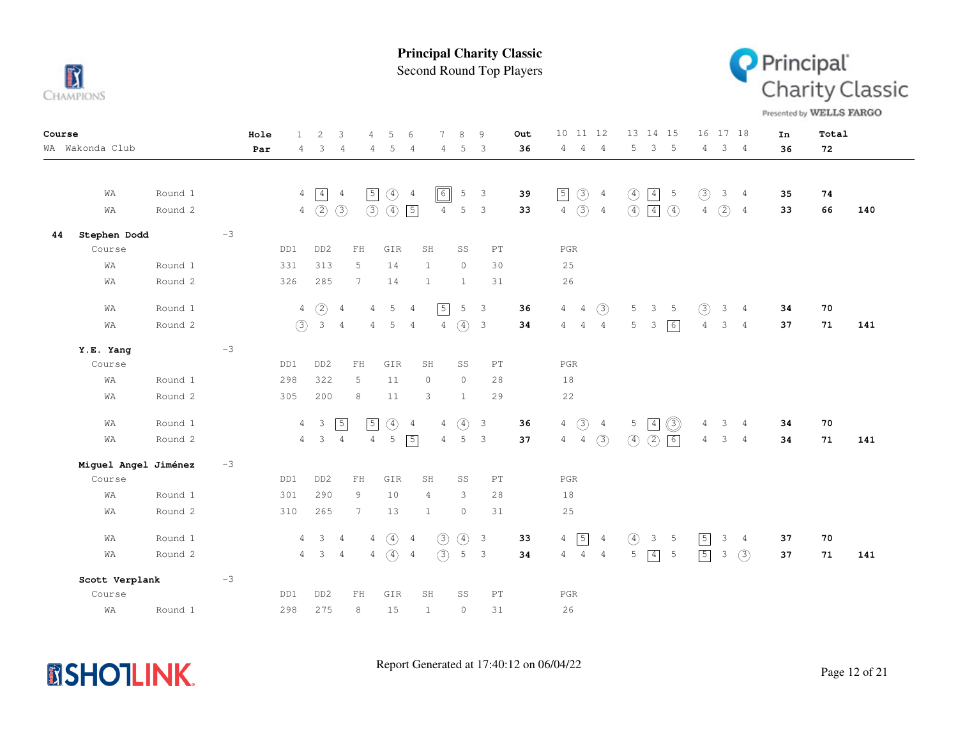

Second Round Top Players



Presented by WELLS FARGO

| Course |                      |         |      | Hole | $\mathbf{1}$   | 2                       | 3              | 4                          | 5                           | 6              | $\overline{7}$ | 8                  | 9                          | Out |                 | 10 11 12        |                |                  | 13 14 15                |                 |                | 16 17 18            |                | In | Total |     |
|--------|----------------------|---------|------|------|----------------|-------------------------|----------------|----------------------------|-----------------------------|----------------|----------------|--------------------|----------------------------|-----|-----------------|-----------------|----------------|------------------|-------------------------|-----------------|----------------|---------------------|----------------|----|-------|-----|
|        | WA Wakonda Club      |         |      | Par  | 4              | 3                       | $\overline{4}$ | 4                          | 5                           | 4              | 4              | 5                  | $\mathbf{3}$               | 36  | $4\overline{ }$ | $\overline{4}$  | $\overline{4}$ | 5                | $\overline{\mathbf{3}}$ | $-5$            |                | $4 \quad 3 \quad 4$ |                | 36 | 72    |     |
|        |                      |         |      |      |                |                         |                |                            |                             |                |                |                    |                            |     |                 |                 |                |                  |                         |                 |                |                     |                |    |       |     |
|        |                      |         |      |      |                |                         |                |                            |                             |                |                |                    |                            |     |                 |                 |                |                  |                         |                 |                |                     |                |    |       |     |
|        | WA                   | Round 1 |      |      | $\overline{4}$ | $\boxed{4}$             | $\overline{4}$ | $\sqrt{5}$                 | $\circled{4}$               | $\overline{4}$ | $\boxed{6}$    | 5                  | $\mathbf{3}$               | 39  | $\sqrt{5}$      | $\circled{3}$   | $\overline{4}$ | $\circled{4}$    |                         | $\boxed{4}$ 5   | $\circled{3}$  |                     | 3 <sub>4</sub> | 35 | 74    |     |
|        | WA                   | Round 2 |      |      |                | $4\quad)$               | $\circled{3}$  |                            | $\circled{3}$ $\circled{4}$ | $\sqrt{5}$     | $\overline{4}$ | 5                  | $\mathbf{3}$               | 33  |                 | $4\quad)$       | $\overline{4}$ | $\left(4\right)$ | $\boxed{4}$             | $\circ$         | $4 -$          | (2)                 | $\frac{4}{3}$  | 33 | 66    | 140 |
| 44     | Stephen Dodd         |         | $-3$ |      |                |                         |                |                            |                             |                |                |                    |                            |     |                 |                 |                |                  |                         |                 |                |                     |                |    |       |     |
|        | Course               |         |      |      | DD1            | DD <sub>2</sub>         |                | $\mathbb{F} \, \mathbb{H}$ | GIR                         |                | SH             | SS                 | PT                         |     | $_{\rm PGR}$    |                 |                |                  |                         |                 |                |                     |                |    |       |     |
|        | WA                   | Round 1 |      |      | 331            | 313                     |                | 5                          | 14                          |                | 1              | $\circ$            | 30                         |     | 25              |                 |                |                  |                         |                 |                |                     |                |    |       |     |
|        | WA                   | Round 2 |      |      | 326            | 285                     |                | $7\phantom{.0}$            | 14                          |                | $\mathbf{1}$   | $\mathbf{1}$       | 31                         |     | 26              |                 |                |                  |                         |                 |                |                     |                |    |       |     |
|        | WA                   | Round 1 |      |      | 4              | $\circled{2}$           | $\overline{4}$ | $\overline{4}$             | 5                           | 4              | $\sqrt{5}$     | 5                  | $\overline{\mathbf{3}}$    | 36  |                 | $4\quad 4$      | $\circled{3}$  | 5 <sub>5</sub>   | 3 <sub>5</sub>          |                 | (3)            |                     | $3 \quad 4$    | 34 | 70    |     |
|        | WA                   |         |      |      |                |                         | $\overline{4}$ |                            | 5                           | $\overline{4}$ | $\overline{4}$ |                    |                            |     | $\overline{4}$  |                 | $\overline{4}$ | 5                |                         |                 |                | 3                   | $\overline{4}$ |    |       |     |
|        |                      | Round 2 |      |      | (3)            | 3                       |                | $\overline{4}$             |                             |                |                | $\circled{4}$      | $\overline{\mathbf{3}}$    | 34  |                 | $4\overline{4}$ |                |                  | $\overline{\mathbf{3}}$ | 6               | $\overline{4}$ |                     |                | 37 | 71    | 141 |
|        | Y.E. Yang            |         | $-3$ |      |                |                         |                |                            |                             |                |                |                    |                            |     |                 |                 |                |                  |                         |                 |                |                     |                |    |       |     |
|        | Course               |         |      |      | DD1            | DD <sub>2</sub>         |                | $\mathbb{F} \, \mathbb{H}$ | GIR                         |                | SH             | SS                 | $\mathbb{P}\mathbb{T}$     |     | $_{\rm PGR}$    |                 |                |                  |                         |                 |                |                     |                |    |       |     |
|        | WA                   | Round 1 |      |      | 298            | 322                     |                | 5                          | 11                          |                | $\circ$        | $\circ$            | 28                         |     | 18              |                 |                |                  |                         |                 |                |                     |                |    |       |     |
|        | WA                   | Round 2 |      |      | 305            | 200                     |                | 8                          | 11                          |                | 3              | $\mathbf{1}$       | 29                         |     | 22              |                 |                |                  |                         |                 |                |                     |                |    |       |     |
|        | WA                   | Round 1 |      |      | $\overline{4}$ | $\mathbf{3}$            | $\sqrt{5}$     | $\sqrt{5}$                 |                             | 4              | 4              |                    | $\mathcal{E}$              | 36  | $\overline{4}$  |                 | $\overline{4}$ |                  | $5 \mid 4$              |                 | 4              | 3                   | $\frac{4}{3}$  | 34 | 70    |     |
|        |                      | Round 2 |      |      |                |                         |                |                            | $\circled{4}$<br>5          |                |                | $\circled{4}$<br>5 |                            |     |                 | $\circled{3}$   |                |                  |                         | O)              |                |                     |                |    |       |     |
|        | WA                   |         |      |      | $\overline{4}$ | $\overline{\mathbf{3}}$ | $\overline{4}$ | $\overline{4}$             |                             | $\sqrt{5}$     | $\overline{4}$ |                    | $\overline{\mathbf{3}}$    | 37  | 4               | $\overline{4}$  | (3)            | $\circled{4}$    | $\circled{2}$           | $\sqrt{6}$      | $\overline{4}$ | $\mathcal{S}$       | $\overline{4}$ | 34 | 71    | 141 |
|        | Miguel Angel Jiménez |         | $-3$ |      |                |                         |                |                            |                             |                |                |                    |                            |     |                 |                 |                |                  |                         |                 |                |                     |                |    |       |     |
|        | Course               |         |      |      | DD1            | DD <sub>2</sub>         |                | ${\rm FH}$                 | GIR                         |                | SH             | SS                 | PT                         |     | PGR             |                 |                |                  |                         |                 |                |                     |                |    |       |     |
|        | WA                   | Round 1 |      |      | 301            | 290                     |                | 9                          | 10                          |                | 4              | 3                  | 28                         |     | 18              |                 |                |                  |                         |                 |                |                     |                |    |       |     |
|        | WA                   | Round 2 |      |      | 310            | 265                     |                | $7\phantom{.0}$            | 13                          |                | $\mathbf{1}$   | $\circ$            | 31                         |     | 25              |                 |                |                  |                         |                 |                |                     |                |    |       |     |
|        |                      |         |      |      |                |                         |                |                            |                             |                |                |                    |                            |     |                 |                 |                |                  |                         |                 |                |                     |                |    |       |     |
|        | WA                   | Round 1 |      |      | $\overline{4}$ | $\mathbf{3}$            | $\overline{4}$ | $\overline{4}$             | $\circled{4}$               | $\frac{4}{3}$  | (3)            | $\circled{4}$      | $\overline{\mathbf{3}}$    | 33  | $\overline{4}$  | $\sqrt{5}$      | $\overline{4}$ | $\circled{4}$    | $3 -$                   | $-5$            | $\sqrt{5}$     | 3                   | $\overline{4}$ | 37 | 70    |     |
|        | WA                   | Round 2 |      |      | 4              | $\mathbf{3}$            | $\overline{4}$ | $\overline{4}$             | $\circ$                     | $\overline{4}$ | (3)            | 5                  | $\mathbf{3}$               | 34  | $\overline{4}$  | $\overline{4}$  | $\overline{4}$ | 5                | $\boxed{4}$             | $5\phantom{.0}$ | $\sqrt{5}$     | 3                   | (3)            | 37 | 71    | 141 |
|        | Scott Verplank       |         | $-3$ |      |                |                         |                |                            |                             |                |                |                    |                            |     |                 |                 |                |                  |                         |                 |                |                     |                |    |       |     |
|        | Course               |         |      |      | DD1            | DD <sub>2</sub>         |                | FH                         | GIR                         |                | SH             | SS                 | $\mathop{\rm PT}\nolimits$ |     | PGR             |                 |                |                  |                         |                 |                |                     |                |    |       |     |
|        | WA                   | Round 1 |      |      | 298            | 275                     |                | 8                          | 15                          |                | $\mathbf{1}$   | $\mathbb O$        | 31                         |     | 26              |                 |                |                  |                         |                 |                |                     |                |    |       |     |

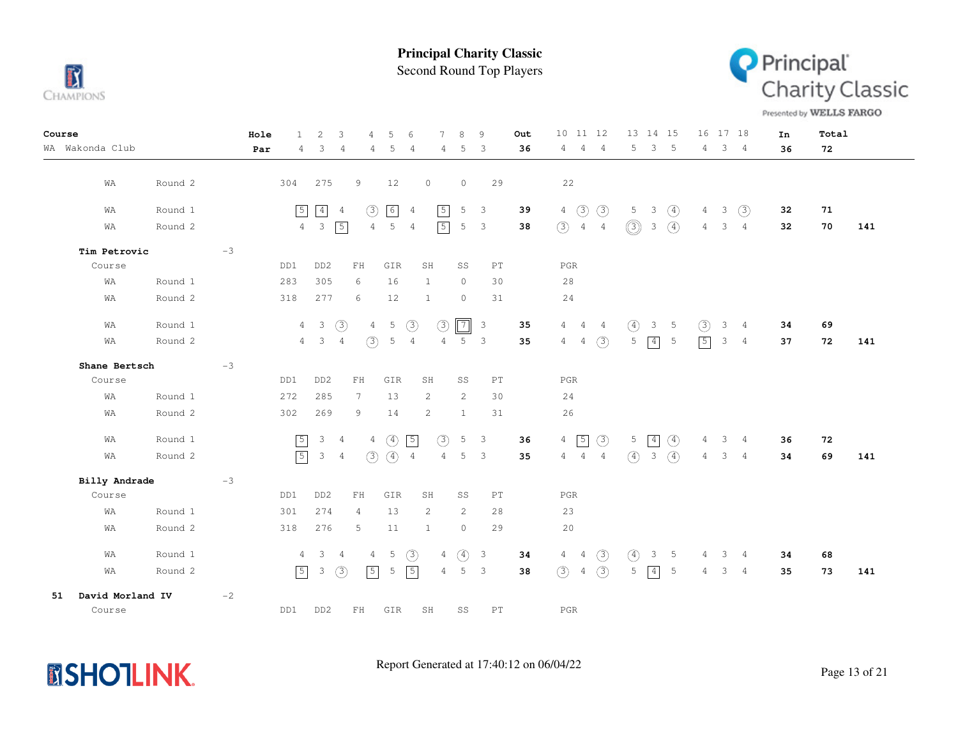

Second Round Top Players



Presented by WELLS FARGO

| Course |                  |         |      | Hole | $\mathbf{1}$   | 2                       | 3              | $\overline{4}$  | 5                 | 6              | 7              | 8              | 9                          | Out | 10 11 12        |                |                |               | 13 14 15      |                 | 16 17 18       |               |                | In | Total |     |
|--------|------------------|---------|------|------|----------------|-------------------------|----------------|-----------------|-------------------|----------------|----------------|----------------|----------------------------|-----|-----------------|----------------|----------------|---------------|---------------|-----------------|----------------|---------------|----------------|----|-------|-----|
|        | WA Wakonda Club  |         |      | Par  | 4              | 3                       | $\overline{4}$ | 4               | 5                 | $\overline{4}$ | 4              | 5              | 3                          | 36  | $4^{\circ}$     | $\overline{4}$ | $\overline{4}$ | 5             | 3             | $-5$            | 4              |               | $3 \quad 4$    | 36 | 72    |     |
|        |                  |         |      |      |                |                         |                |                 |                   |                |                |                |                            |     |                 |                |                |               |               |                 |                |               |                |    |       |     |
|        | WA               | Round 2 |      |      | 304            | 275                     |                | 9               | 12                |                | $\circ$        | $\circ$        | 29                         |     | 22              |                |                |               |               |                 |                |               |                |    |       |     |
|        | WA               | Round 1 |      |      | $\boxed{5}$    | $\boxed{4}$             | $\overline{4}$ | (3)             | $\lceil 6 \rceil$ | $\overline{4}$ | $\boxed{5}$    | 5              | $\overline{\mathbf{3}}$    | 39  | $4\overline{ }$ | (3)            | (3)            | 5             | $\mathcal{E}$ | $\circled{4}$   | $\overline{4}$ | $\mathbf{3}$  | (3)            | 32 | 71    |     |
|        | WA               | Round 2 |      |      | $\overline{4}$ | $\overline{\mathbf{3}}$ | $\sqrt{5}$     | $\overline{4}$  | 5                 | $\overline{4}$ | $\boxed{5}$    | 5              | $\overline{\phantom{a}}$   | 38  | (3)             | 4              | $\overline{4}$ | $\circledS$   | $\mathcal{S}$ | $\circled{4}$   | $\overline{4}$ | 3             | $\overline{4}$ | 32 | 70    | 141 |
|        | Tim Petrovic     |         | $-3$ |      |                |                         |                |                 |                   |                |                |                |                            |     |                 |                |                |               |               |                 |                |               |                |    |       |     |
|        | Course           |         |      |      | DD1            | DD <sub>2</sub>         |                | FH              | GIR               |                | SH             | SS             | PT                         |     | $_{\rm PGR}$    |                |                |               |               |                 |                |               |                |    |       |     |
|        | WA               | Round 1 |      |      | 283            | 305                     |                | 6               | 16                |                | $\mathbf{1}$   | $\circ$        | 30                         |     | 28              |                |                |               |               |                 |                |               |                |    |       |     |
|        | WΑ               | Round 2 |      |      | 318            | 277                     |                | 6               | 12                |                | 1              | $\circ$        | 31                         |     | 24              |                |                |               |               |                 |                |               |                |    |       |     |
|        | WA               | Round 1 |      |      |                | $4 \quad 3$             | $\circled{3}$  | 4               | $5\phantom{.0}$   | (3)            | (3)            | $\overline{7}$ | $\overline{\mathbf{3}}$    | 35  | 4               | $\overline{4}$ | 4              | $\circled{4}$ | $\mathcal{S}$ | $5\phantom{0}$  | (3)            | 3             | $\overline{4}$ | 34 | 69    |     |
|        | WΑ               | Round 2 |      |      |                | $4 \quad 3 \quad 4$     |                | (3)             | 5                 | $\overline{4}$ | 4              | $5 -$          | $\overline{3}$             | 35  | $\overline{4}$  | 4              | (3)            | 5             | $\boxed{4}$   | $5\phantom{.0}$ | $\boxed{5}$    | $\mathcal{S}$ | $\overline{4}$ | 37 | 72    | 141 |
|        | Shane Bertsch    |         | $-3$ |      |                |                         |                |                 |                   |                |                |                |                            |     |                 |                |                |               |               |                 |                |               |                |    |       |     |
|        | Course           |         |      |      | DD1            | DD <sub>2</sub>         |                | ${\rm FH}$      | GIR               |                | SH             | SS             | $\mathop{\rm PT}\nolimits$ |     | PGR             |                |                |               |               |                 |                |               |                |    |       |     |
|        | WA               | Round 1 |      |      | 272            | 285                     |                | $7\phantom{.0}$ | 13                |                | 2              | 2              | 30                         |     | 24              |                |                |               |               |                 |                |               |                |    |       |     |
|        | WΑ               | Round 2 |      |      | 302            | 269                     |                | 9               | 14                |                | 2              | $\mathbf{1}$   | 31                         |     | 26              |                |                |               |               |                 |                |               |                |    |       |     |
|        | WA               | Round 1 |      |      | $\boxed{5}$    | $3 \quad 4$             |                |                 | $4\quad)$         | $\sqrt{5}$     | $\circled{3}$  | 5              | $\overline{\mathbf{3}}$    | 36  | $\overline{4}$  | $\sqrt{5}$     | $\circled{3}$  | 5             | $\boxed{4}$   | $\circled{4}$   | 4              | $\mathcal{S}$ | $\overline{4}$ | 36 | 72    |     |
|        | WA               | Round 2 |      |      | $\boxed{5}$    | $\mathcal{S}$           | $\overline{4}$ | (3)             | $\circled{4}$     | $\overline{4}$ | $\overline{4}$ | 5              | 3                          | 35  | $\overline{4}$  | $\overline{4}$ | $\overline{4}$ | $\circ$       | $\mathcal{S}$ | $\circ$         | $\overline{4}$ | $\mathcal{S}$ | $\frac{4}{3}$  | 34 | 69    | 141 |
|        | Billy Andrade    |         | $-3$ |      |                |                         |                |                 |                   |                |                |                |                            |     |                 |                |                |               |               |                 |                |               |                |    |       |     |
|        | Course           |         |      |      | DD1            | DD <sub>2</sub>         |                | ${\rm FH}$      | GIR               |                | SH             | SS             | PT                         |     | PGR             |                |                |               |               |                 |                |               |                |    |       |     |
|        | WA               | Round 1 |      |      | 301            | 274                     |                | $\overline{4}$  | 13                |                | 2              | 2              | 28                         |     | 23              |                |                |               |               |                 |                |               |                |    |       |     |
|        | WA               | Round 2 |      |      | 318            | 276                     |                | 5               | 11                |                | $\mathbf{1}$   | $\circ$        | 29                         |     | 20              |                |                |               |               |                 |                |               |                |    |       |     |
|        | WA               | Round 1 |      |      | $\overline{4}$ | $\mathcal{S}$           | $\overline{4}$ | $\overline{4}$  | 5                 | (3)            | 4              | $\circled{4}$  | $\overline{3}$             | 34  | $4\quad 4$      |                | $\circled{3}$  | $\circled{4}$ | 3             | 5               | 4              | 3             | $\frac{4}{3}$  | 34 | 68    |     |
|        | WA               | Round 2 |      |      | $\boxed{5}$    | 3                       | $\circled{3}$  | $\sqrt{5}$      | 5                 | $\sqrt{5}$     | 4              | 5              | 3                          | 38  | (3)             | 4              | (3)            | 5             | $\boxed{4}$   | $5\phantom{.0}$ | 4              | 3             | $\overline{4}$ | 35 | 73    | 141 |
| 51     | David Morland IV |         | $-2$ |      |                |                         |                |                 |                   |                |                |                |                            |     |                 |                |                |               |               |                 |                |               |                |    |       |     |
|        | Course           |         |      |      | DD1            | DD <sub>2</sub>         |                | ${\rm FH}$      | GIR               |                | SH             | SS             | $\mathop{\rm PT}\nolimits$ |     | $_{\rm PGR}$    |                |                |               |               |                 |                |               |                |    |       |     |

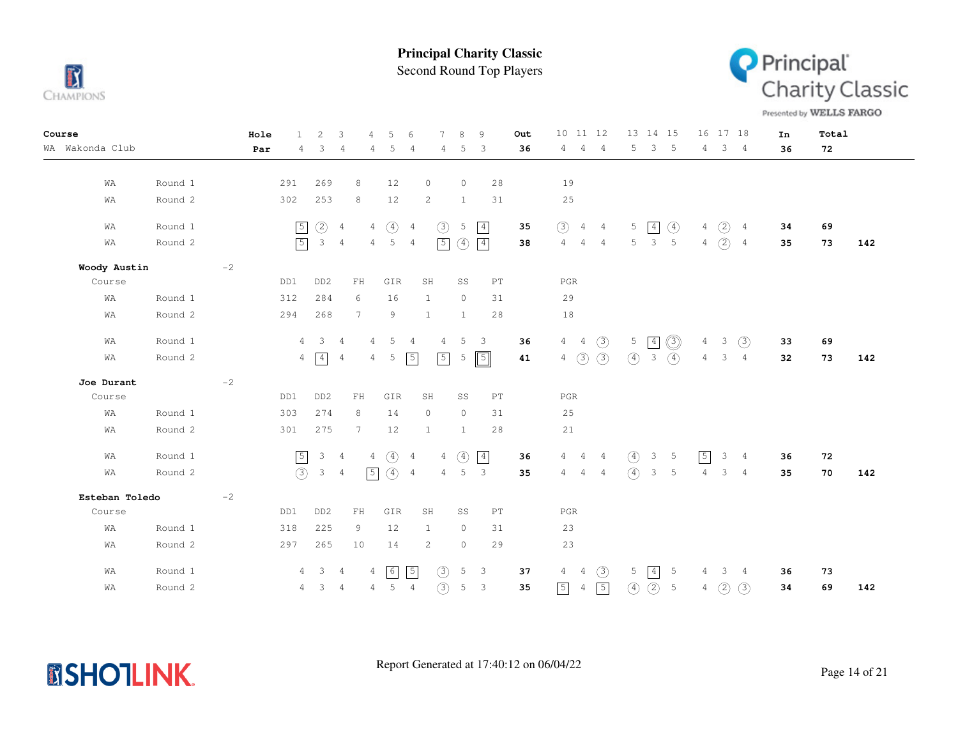

Second Round Top Players



Presented by WELLS FARGO

| Course          |         | Hole |                | $\overline{c}$          | 3               | $\overline{4}$ | 5              | 6              | 7              | 8              | 9                          | Out | 10 11 12       |                |                | 13 14 15      |                         |                             |                | 16 17 18              |                | In | Total |     |
|-----------------|---------|------|----------------|-------------------------|-----------------|----------------|----------------|----------------|----------------|----------------|----------------------------|-----|----------------|----------------|----------------|---------------|-------------------------|-----------------------------|----------------|-----------------------|----------------|----|-------|-----|
| WA Wakonda Club |         | Par  | 4              | 3                       | $\overline{4}$  | 4              | 5              | $\overline{4}$ | 4              | 5              | 3                          | 36  | 4 4            |                | $\overline{4}$ | 5             | $\sqrt{3}$              | $-5$                        | $4\phantom{0}$ |                       | $3 \quad 4$    | 36 | 72    |     |
|                 |         |      |                |                         |                 |                |                |                |                |                |                            |     |                |                |                |               |                         |                             |                |                       |                |    |       |     |
| WA              | Round 1 |      | 291            | 269                     | 8               |                | 12             |                | $\circ$        | $\circ$        | 28                         |     | 19             |                |                |               |                         |                             |                |                       |                |    |       |     |
| WA              | Round 2 |      | 302            | 253                     | 8               |                | 12             |                | $\mathbf{2}$   | $\mathbf{1}$   | 31                         |     | 25             |                |                |               |                         |                             |                |                       |                |    |       |     |
| WA              | Round 1 |      | $\sqrt{5}$     | $\circled{2}$           | $\overline{4}$  | $\overline{4}$ | $\circled{4}$  | $\overline{4}$ | (3)            | 5              | $\boxed{4}$                | 35  | (3)            | $4\quad 4$     |                | 5             | $\boxed{4}$             | $\circled{4}$               |                | $4\quad(2)\quad 4$    |                | 34 | 69    |     |
| WA              | Round 2 |      | $\sqrt{5}$     | 3 <sub>4</sub>          |                 | $4 -$          | 5 <sub>5</sub> | $\overline{4}$ | $\boxed{5}$    | $\circled{4}$  | $\boxed{4}$                | 38  | $\overline{4}$ | $\overline{4}$ | 4              | 5             | $\overline{\mathbf{3}}$ | $-5$                        | $4 -$          | $\circled{2}$         | $\overline{4}$ | 35 | 73    | 142 |
| Woody Austin    |         | $-2$ |                |                         |                 |                |                |                |                |                |                            |     |                |                |                |               |                         |                             |                |                       |                |    |       |     |
| Course          |         |      | DD1            | DD <sub>2</sub>         | $\mathbf{FH}$   |                | GIR            | SH             |                | SS             | $\mathop{\rm PT}\nolimits$ |     | $_{\rm PGR}$   |                |                |               |                         |                             |                |                       |                |    |       |     |
| WA              | Round 1 |      | 312            | 284                     | 6               |                | 16             | 1              |                | $\overline{0}$ | 31                         |     | 29             |                |                |               |                         |                             |                |                       |                |    |       |     |
| WA              | Round 2 |      | 294            | 268                     | $7\phantom{.0}$ |                | 9              | $\mathbf{1}$   |                | $\mathbf{1}$   | 28                         |     | 18             |                |                |               |                         |                             |                |                       |                |    |       |     |
| WA              | Round 1 |      | $\overline{4}$ | $\overline{\mathbf{3}}$ | $\overline{4}$  | $\overline{4}$ | 5              | $\overline{4}$ | 4              | 5              | $\overline{\mathbf{3}}$    | 36  | 4              |                | $4\quad)$      |               | $5 \mid 4$              | ◎                           | $\overline{4}$ | $\mathcal{S}$         | (3)            | 33 | 69    |     |
| WA              | Round 2 |      |                | $4 \sqrt{4}$            | $\overline{4}$  | 4              | 5              | $\sqrt{5}$     | $\sqrt{5}$     | 5              | $\boxed{5}$                | 41  | $\overline{4}$ | $\circled{3}$  | (3)            | $\circled{4}$ | $\overline{\mathbf{3}}$ | $\left( \widehat{4}\right)$ |                | $4 \qquad 3 \qquad 4$ |                | 32 | 73    | 142 |
| Joe Durant      |         | $-2$ |                |                         |                 |                |                |                |                |                |                            |     |                |                |                |               |                         |                             |                |                       |                |    |       |     |
| Course          |         |      | DD1            | DD <sub>2</sub>         | ${\rm FH}$      |                | GIR            | SH             |                | SS             | PT                         |     | PGR            |                |                |               |                         |                             |                |                       |                |    |       |     |
| WA              | Round 1 |      | 303            | 274                     | 8               |                | 14             |                | $\circ$        | $\circ$        | 31                         |     | 25             |                |                |               |                         |                             |                |                       |                |    |       |     |
| WA              | Round 2 |      | 301            | 275                     | $7\overline{ }$ |                | 12             |                | $\mathbf{1}$   | $\mathbf{1}$   | 28                         |     | 21             |                |                |               |                         |                             |                |                       |                |    |       |     |
| WA              | Round 1 |      | $\sqrt{5}$     | 3 <sub>4</sub>          |                 | $\overline{4}$ | $\circled{4}$  | $\overline{4}$ | $\overline{4}$ | $\circled{4}$  | $\boxed{4}$                | 36  | 4              | $\overline{4}$ | $\overline{4}$ | $\circled{4}$ | 3                       | $5\phantom{0}$              | $\sqrt{5}$     | 3                     | $\frac{4}{3}$  | 36 | 72    |     |
| WA              | Round 2 |      | (3)            | $\mathbf{3}$            | $\frac{4}{3}$   | $\sqrt{5}$     | $\circled{4}$  | $\overline{4}$ | $\overline{4}$ | 5              | $\mathbf{3}$               | 35  | $4\quad 4$     |                | $\overline{4}$ | $\circ$       | $\overline{\mathbf{3}}$ | $5\phantom{.0}$             | $\overline{4}$ |                       | $3 \quad 4$    | 35 | 70    | 142 |
| Esteban Toledo  |         | $-2$ |                |                         |                 |                |                |                |                |                |                            |     |                |                |                |               |                         |                             |                |                       |                |    |       |     |
| Course          |         |      | DD1            | DD <sub>2</sub>         | ${\rm FH}$      |                | GIR            |                | SH             | SS             | PT                         |     | $_{\rm PGR}$   |                |                |               |                         |                             |                |                       |                |    |       |     |
| WA              | Round 1 |      | 318            | 225                     | 9               |                | 12             |                | $\mathbf{1}$   | $\circ$        | 31                         |     | 23             |                |                |               |                         |                             |                |                       |                |    |       |     |
| WA              | Round 2 |      | 297            | 265                     | 10              |                | 14             |                | 2              | $\circ$        | 29                         |     | 23             |                |                |               |                         |                             |                |                       |                |    |       |     |
| WA              | Round 1 |      | 4              | $\overline{\mathbf{3}}$ | - 4             | 4              | 6              | $\sqrt{5}$     | (3)            | 5              | $\overline{3}$             | 37  | $\overline{4}$ | $\overline{4}$ | (3)            | 5             | 4                       | 5                           | 4              | $\mathbf{3}$          | 4              | 36 | 73    |     |
| WA              | Round 2 |      | 4              | $3 \quad 4$             |                 | $4 -$          | $5\quad 4$     |                | (3)            | $\mathsf S$    | $\mathbf{3}$               | 35  | $\boxed{5}$    | 4              | $\sqrt{5}$     | (4)           | (2)                     | 5                           | 4              | (2)                   | (3)            | 34 | 69    | 142 |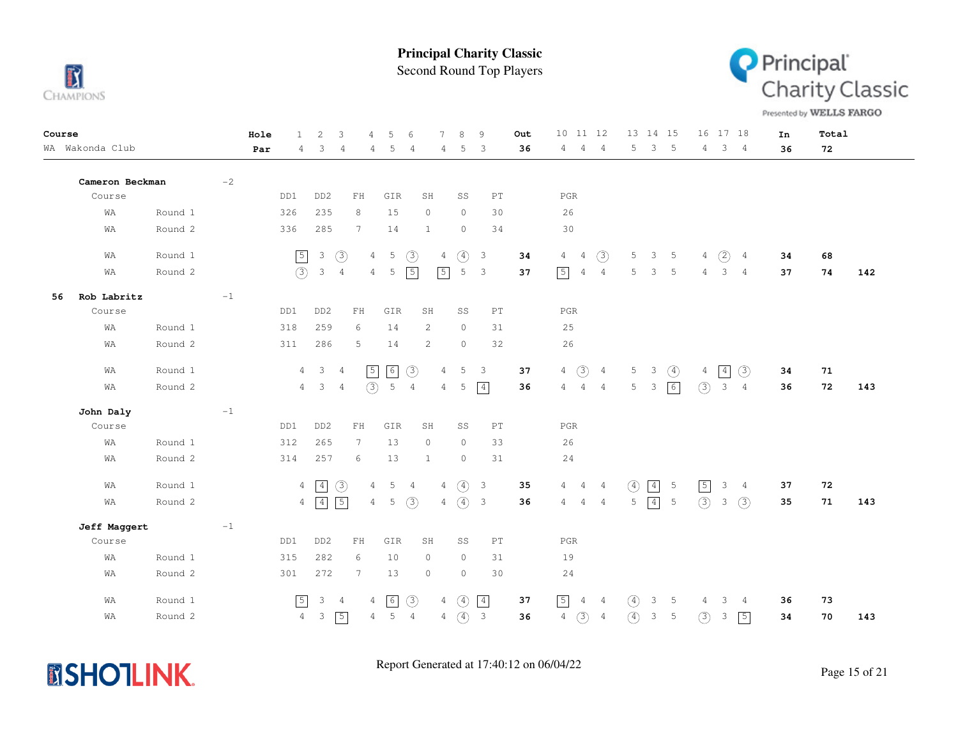

Second Round Top Players



Presented by WELLS FARGO

| Course                      | Hole<br>$\mathbf{1}$ | 2<br>3<br>$\overline{4}$                                    | 5<br>6                                            | 8<br>9<br>Out                                  | 10 11 12                                           | 13 14 15                                     | 16 17 18                                    | Total<br>In     |
|-----------------------------|----------------------|-------------------------------------------------------------|---------------------------------------------------|------------------------------------------------|----------------------------------------------------|----------------------------------------------|---------------------------------------------|-----------------|
| WA Wakonda Club             | Par<br>4             | 3<br>$\overline{4}$<br>4                                    | 5<br>$\overline{4}$<br>4                          | 36<br>5<br>3                                   | 4<br>4<br>$\overline{4}$                           | 5<br>$\overline{\phantom{a}}$<br>$5^{\circ}$ | $4 \quad 3 \quad 4$                         | 36<br>72        |
|                             |                      |                                                             |                                                   |                                                |                                                    |                                              |                                             |                 |
| Cameron Beckman<br>$-2$     |                      |                                                             |                                                   |                                                |                                                    |                                              |                                             |                 |
| Course                      | DD1                  | DD <sub>2</sub><br>${\rm FH}$                               | GIR<br>SH                                         | SS<br>PT                                       | $_{\rm PGR}$                                       |                                              |                                             |                 |
| Round 1<br>WΑ               | 326                  | 235<br>8                                                    | 15<br>$\circ$                                     | $\circ$<br>30                                  | 26                                                 |                                              |                                             |                 |
| Round 2<br>WA               | 336                  | 285<br>$\overline{7}$                                       | 14<br>$\mathbf{1}$                                | $\circ$<br>34                                  | 30                                                 |                                              |                                             |                 |
| Round 1<br>WA               | $\boxed{5}$          | $\circled{3}$<br>$\mathbf{3}$<br>$\overline{4}$             | $\circled{3}$<br>$\overline{5}$<br>$\overline{4}$ | $\circled{4}$<br>$\overline{\mathbf{3}}$<br>34 | $\circled{3}$<br>$\overline{4}$<br>$\overline{4}$  | 5<br>$3 \quad 5$                             | (2)<br>$\overline{4}$<br>$\overline{4}$     | 34<br>68        |
| Round 2<br>WA               | (3)                  | $\overline{\mathbf{3}}$<br>$\overline{4}$<br>$\overline{4}$ | $\sqrt{5}$<br>$\sqrt{5}$<br>5                     | 5<br>$\overline{\mathbf{3}}$<br>37             | $\sqrt{5}$<br>$\overline{4}$<br>$\overline{4}$     | 5<br>$\mathbf{3}$<br>5                       | $\overline{4}$<br>3<br>$\overline{4}$       | 74<br>37<br>142 |
| Rob Labritz<br>$-1$<br>56   |                      |                                                             |                                                   |                                                |                                                    |                                              |                                             |                 |
| Course                      | DD1                  | DD <sub>2</sub><br>${\rm FH}$                               | GIR<br>SH                                         | SS<br>$\mathop{\rm PT}\nolimits$               | PGR                                                |                                              |                                             |                 |
| Round 1<br>WA               | 318                  | 259<br>6                                                    | 14<br>2                                           | $\circ$<br>31                                  | 25                                                 |                                              |                                             |                 |
| Round 2<br>WΑ               | 311                  | 286<br>5                                                    | 2<br>14                                           | $\circ$<br>32                                  | 26                                                 |                                              |                                             |                 |
| Round 1<br>WΑ               | 4                    | $\mathbf{3}$<br>$\sqrt{5}$<br>$\frac{4}{3}$                 | $\boxed{6}$<br>$\circled{3}$<br>4                 | 5<br>$\overline{3}$<br>37                      | $\circled{3}$<br>$\overline{4}$<br>$\overline{4}$  | $\circled{4}$<br>5<br>$\mathcal{E}$          | $\sqrt{4}$<br>(3)<br>4                      | 71<br>34        |
| Round 2<br>WA               | $\overline{4}$       | (3)<br>3<br>$\overline{4}$                                  | 5<br>$\overline{4}$<br>$\overline{4}$             | $\boxed{4}$<br>5<br>36                         | 4<br>$\overline{4}$<br>$\overline{4}$              | 6<br>5<br>$\mathcal{S}$                      | (3)<br>$\mathbf{3}$<br>$\overline{4}$       | 36<br>72<br>143 |
| $-1$<br>John Daly           |                      |                                                             |                                                   |                                                |                                                    |                                              |                                             |                 |
| Course                      | DD1                  | DD <sub>2</sub><br>${\rm FH}$                               | GIR<br>SH                                         | SS<br>$\mathop{\rm PT}\nolimits$               | $_{\rm PGR}$                                       |                                              |                                             |                 |
| Round 1<br>WA               | 312                  | 265<br>$7\phantom{.0}$                                      | 13<br>$\circ$                                     | $\circ$<br>33                                  | 26                                                 |                                              |                                             |                 |
| Round 2<br>WA               | 314                  | 257<br>6                                                    | 13<br>$\mathbf{1}$                                | 31<br>$\circ$                                  | 24                                                 |                                              |                                             |                 |
| Round 1<br>WA               | 4                    | $\boxed{4}$<br>$\circled{3}$<br>4                           | $4\quad(4)$<br>5<br>$\overline{4}$                | $\overline{\mathbf{3}}$<br>35                  | $\overline{4}$<br>$\overline{4}$<br>$\overline{4}$ | $\boxed{4}$<br>$\left(4\right)$<br>-5        | $\boxed{5}$<br>3<br>$\frac{4}{3}$           | 72<br>37        |
| WA<br>Round 2               | 4                    | $\sqrt{5}$<br>$\boxed{4}$<br>$4 -$                          | (3)<br>5<br>4                                     | $\circled{4}$<br>$\overline{\mathbf{3}}$<br>36 | 4<br>$4\overline{4}$<br>$\overline{4}$             | $\boxed{4}$<br>5<br>5                        | (3)<br>(3)<br>3                             | 35<br>71<br>143 |
| Jeff Maggert<br>$^{\rm -1}$ |                      |                                                             |                                                   |                                                |                                                    |                                              |                                             |                 |
| Course                      | DD1                  | DD <sub>2</sub><br>${\rm FH}$                               | GIR<br>SH                                         | SS<br>$\mathop{\rm PT}\nolimits$               | $_{\rm PGR}$                                       |                                              |                                             |                 |
| Round 1<br>WA               | 315                  | 282<br>6                                                    | 10<br>$\circ$                                     | $\circ$<br>31                                  | 19                                                 |                                              |                                             |                 |
| Round 2<br>WA               | 301                  | 272<br>7                                                    | 13<br>$\circ$                                     | $\circ$<br>30                                  | 24                                                 |                                              |                                             |                 |
| Round 1<br>WΑ               | $\sqrt{5}$           | $\ensuremath{\mathsf{3}}$<br>$\overline{4}$<br>4            | $\lceil 6 \rceil$<br>$\circled{3}$<br>4           | $\boxed{4}$<br>$\circled{4}$<br>37             | $\boxed{5}$<br>4<br>$\overline{4}$                 | 3<br>$\circled{4}$<br>5                      | 3<br>4<br>4                                 | 36<br>73        |
| Round 2<br>WA               | $\overline{4}$       | $\sqrt{5}$<br>3<br>4                                        | 5<br>$\overline{4}$<br>$\overline{4}$             | $\circled{4}$<br>$\overline{\mathbf{3}}$<br>36 | $\circledS$<br>$\overline{4}$<br>$\overline{4}$    | $\circled{4}$<br>$\mathfrak{Z}$<br>5         | $\circled{3}$<br>$\sqrt{5}$<br>$\mathbf{3}$ | 34<br>70<br>143 |

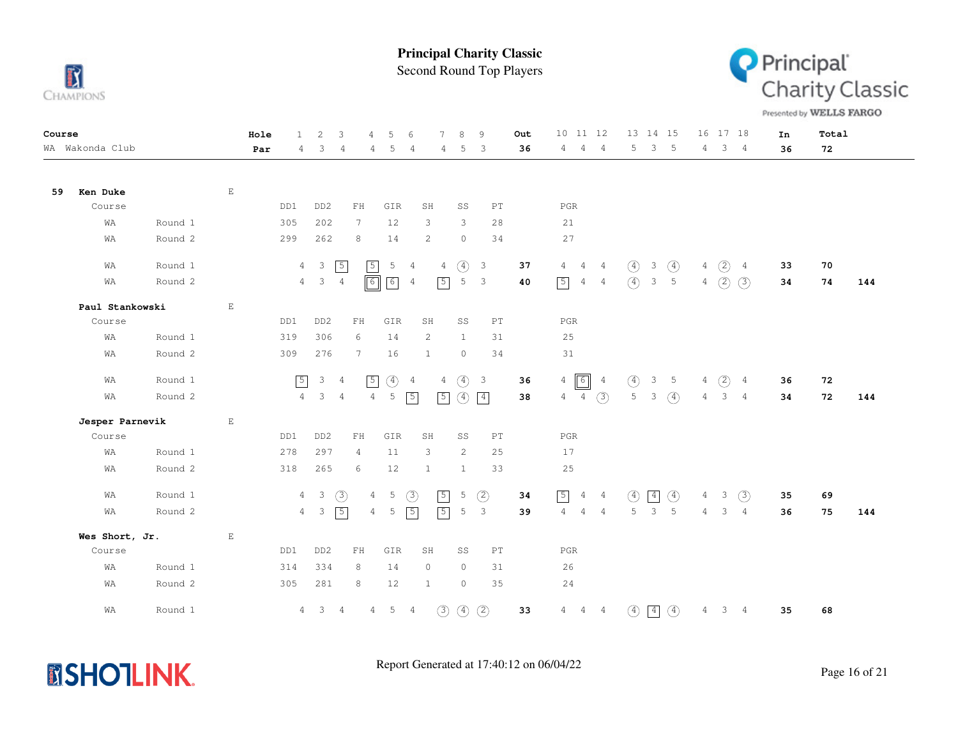

Second Round Top Players



Presented by WELLS FARGO

| Course |                 |         |              | Hole | $\mathbf{1}$   | $\overline{2}$            | 3              | $\overline{4}$                                   | 5             | 6              | 7             | 8             | 9                          | Out | 10                               | 11 12          |                  | 13 14 15     |                |       | 16 17 18      |                 | In | Total |     |
|--------|-----------------|---------|--------------|------|----------------|---------------------------|----------------|--------------------------------------------------|---------------|----------------|---------------|---------------|----------------------------|-----|----------------------------------|----------------|------------------|--------------|----------------|-------|---------------|-----------------|----|-------|-----|
|        | WA Wakonda Club |         |              | Par  | 4              | 3                         | $\overline{4}$ | 4                                                | 5             | 4              | 4             | 5             | 3                          | 36  | 4<br>4                           | $\overline{4}$ | 5                |              | 3 <sub>5</sub> | 4     | 3             | 4               | 36 | 72    |     |
|        |                 |         |              |      |                |                           |                |                                                  |               |                |               |               |                            |     |                                  |                |                  |              |                |       |               |                 |    |       |     |
| 59     | Ken Duke        |         | $\mathbf{E}$ |      |                |                           |                |                                                  |               |                |               |               |                            |     |                                  |                |                  |              |                |       |               |                 |    |       |     |
|        | Course          |         |              |      | DD1            | DD <sub>2</sub>           |                | FH                                               | GIR           | SH             |               | SS            | PT                         |     | PGR                              |                |                  |              |                |       |               |                 |    |       |     |
|        | WA              | Round 1 |              |      | 305            | 202                       |                | $7\phantom{.0}$                                  | 12            | 3              |               | 3             | 28                         |     | 21                               |                |                  |              |                |       |               |                 |    |       |     |
|        | WΑ              | Round 2 |              |      | 299            | 262                       |                | 8                                                | 14            | 2              |               | $\circ$       | 34                         |     | 27                               |                |                  |              |                |       |               |                 |    |       |     |
|        | WA              | Round 1 |              |      | $\overline{4}$ | 3                         | $\sqrt{5}$     | $\sqrt{5}$                                       | 5             | 4              | 4             | $\circled{4}$ | $\overline{\mathbf{3}}$    | 37  | $4 -$<br>$\overline{4}$          | $\overline{4}$ | $\circled{4}$    | $\mathbf{3}$ | $\circled{4}$  | $4 -$ | (2)           | $\overline{4}$  | 33 | 70    |     |
|        | WΑ              | Round 2 |              |      | $\overline{4}$ | $\mathcal{E}$             | $\overline{4}$ | $\boxed{6}$                                      | $\boxed{6}$   | $\overline{4}$ | $\sqrt{5}$    | 5             | $\mathbf{3}$               | 40  | $\sqrt{5}$<br>$\overline{4}$     | $\overline{4}$ | $\left(4\right)$ |              | 3 <sub>5</sub> |       | $4\quad)$     | (3)             | 34 | 74    | 144 |
|        | Paul Stankowski |         | $\mathbf{E}$ |      |                |                           |                |                                                  |               |                |               |               |                            |     |                                  |                |                  |              |                |       |               |                 |    |       |     |
|        | Course          |         |              |      | DD1            | DD <sub>2</sub>           |                | $\mathop{\rm F}\nolimits\mathop{\rm H}\nolimits$ | GIR           | SH             |               | SS            | $\mathop{\rm PT}\nolimits$ |     | $_{\rm PGR}$                     |                |                  |              |                |       |               |                 |    |       |     |
|        | WΑ              | Round 1 |              |      | 319            | 306                       |                | 6                                                | 14            | 2              |               | $\mathbf{1}$  | 31                         |     | 25                               |                |                  |              |                |       |               |                 |    |       |     |
|        | WΑ              | Round 2 |              |      | 309            | 276                       |                | 7                                                | 16            | 1              |               | $\circ$       | 34                         |     | 31                               |                |                  |              |                |       |               |                 |    |       |     |
|        | WΑ              | Round 1 |              |      | $\sqrt{5}$     | $\mathcal{S}$             | $\overline{4}$ | $\sqrt{5}$                                       | $\circled{4}$ | $\overline{4}$ | 4             | $\circled{4}$ | $\overline{\mathbf{3}}$    | 36  | $\boxed{6}$<br>$\overline{4}$    | $\overline{4}$ | $\circled{4}$    | 3            | $5^{\circ}$    | 4     | (2)           | $\overline{4}$  | 36 | 72    |     |
|        | WΑ              | Round 2 |              |      | $\overline{4}$ | 3                         | $\overline{4}$ | $\overline{4}$                                   | $\mathsf S$   | $\sqrt{5}$     | $\sqrt{5}$    | $\circled{4}$ | $\boxed{4}$                | 38  | $\overline{4}$                   | $4\quad(3)$    | 5 <sup>1</sup>   | 3            | $\circ$        | $4 -$ | 3             | $\overline{4}$  | 34 | 72    | 144 |
|        | Jesper Parnevik |         | $\mathbf{E}$ |      |                |                           |                |                                                  |               |                |               |               |                            |     |                                  |                |                  |              |                |       |               |                 |    |       |     |
|        | Course          |         |              |      | DD1            | DD <sub>2</sub>           |                | FH                                               | GIR           | SH             |               | SS            | PT                         |     | $_{\rm PGR}$                     |                |                  |              |                |       |               |                 |    |       |     |
|        | WA              | Round 1 |              |      | 278            | 297                       |                | 4                                                | 11            | 3              |               | 2             | 25                         |     | 17                               |                |                  |              |                |       |               |                 |    |       |     |
|        | WA              | Round 2 |              |      | 318            | 265                       |                | 6                                                | 12            | 1              |               | 1             | 33                         |     | $2\,5$                           |                |                  |              |                |       |               |                 |    |       |     |
|        | WΑ              | Round 1 |              |      | $\overline{4}$ | $\overline{\mathbf{3}}$   | $\circled{3}$  | $\overline{4}$                                   | 5             | $\circled{3}$  | $\sqrt{5}$    | 5             | $\circled{2}$              | 34  | $\boxed{5}$<br>4                 | $\overline{4}$ | (4)              | $\boxed{4}$  | $\circled{4}$  | $4 -$ | 3             | (3)             | 35 | 69    |     |
|        | WA              | Round 2 |              |      | $4 -$          | $\ensuremath{\mathsf{3}}$ | $\boxed{5}$    | $\overline{4}$                                   | 5             | $\sqrt{5}$     | $\sqrt{5}$    | 5             | 3                          | 39  | $\overline{4}$<br>$\overline{4}$ | $\frac{4}{3}$  | 5                | 3            | 5              | $4 -$ | $\mathcal{E}$ | $4\overline{4}$ | 36 | 75    | 144 |
|        | Wes Short, Jr.  |         | E            |      |                |                           |                |                                                  |               |                |               |               |                            |     |                                  |                |                  |              |                |       |               |                 |    |       |     |
|        | Course          |         |              |      | DD1            | DD <sub>2</sub>           |                | ${\rm FH}$                                       | GIR           | SH             |               | SS            | $\mathop{\rm PT}\nolimits$ |     | $_{\rm PGR}$                     |                |                  |              |                |       |               |                 |    |       |     |
|        | WA              | Round 1 |              |      | 314            | 334                       |                | 8                                                | 14            | $\circ$        |               | $\circ$       | 31                         |     | 26                               |                |                  |              |                |       |               |                 |    |       |     |
|        | WA              | Round 2 |              |      | 305            | 281                       |                | 8                                                | 12            | $\mathbf{1}$   |               | $\circ$       | 35                         |     | 24                               |                |                  |              |                |       |               |                 |    |       |     |
|        | WΑ              | Round 1 |              |      | $\overline{4}$ | 3 <sup>7</sup>            | $\overline{4}$ | $\overline{4}$                                   | $5\quad 4$    |                | $\circled{3}$ | $\circled{4}$ | $\circled{2}$              | 33  | $\overline{4}$<br>$\overline{4}$ | $\frac{4}{3}$  | $\circ$          | $\boxed{4}$  | $\circled{4}$  | 4     | 3             | $\overline{4}$  | 35 | 68    |     |

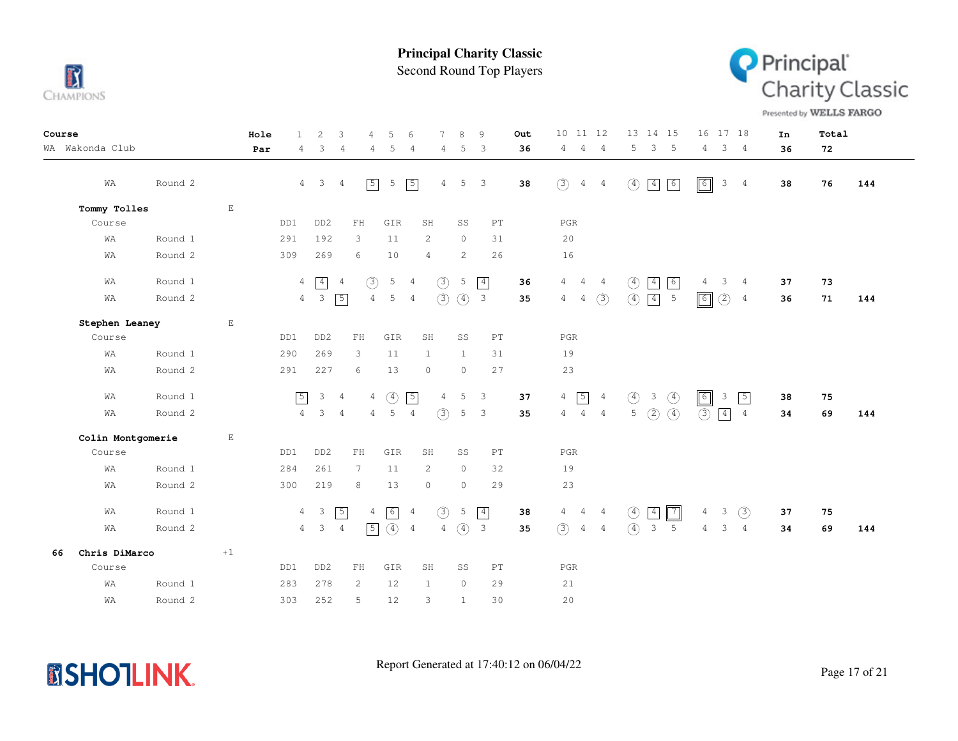

Second Round Top Players



Presented by WELLS FARGO

| Course |                   |         |             | Hole<br>$\mathbf{1}$ | 2                       | 3<br>4                     | 5                           | 6              | $\overline{7}$ | 8             | 9                          | Out | 10 11 12                                         | 13 14 15                                        | 16 17 18                                      | In | Total |     |
|--------|-------------------|---------|-------------|----------------------|-------------------------|----------------------------|-----------------------------|----------------|----------------|---------------|----------------------------|-----|--------------------------------------------------|-------------------------------------------------|-----------------------------------------------|----|-------|-----|
|        | WA Wakonda Club   |         |             | Par<br>4             | 3                       | 4                          | 5<br>4                      | 4              | 4              | 5             | 3                          | 36  | 4<br>$\overline{4}$<br>$\overline{4}$            | 5<br>$\mathcal{E}$<br>$-5$                      | $3 \quad 4$<br>$4 -$                          | 36 | 72    |     |
|        | WA                | Round 2 |             |                      | $4 \quad 3 \quad 4$     | $\sqrt{5}$                 | 5                           | $\sqrt{5}$     | $\overline{4}$ | 5             | 3                          | 38  | (3)<br>$\overline{4}$<br>$\overline{4}$          | $\boxed{4}$<br>$\sqrt{6}$<br>$\circled{4}$      | $\boxed{6}$<br>$\mathbf{3}$<br>$\overline{4}$ | 38 | 76    | 144 |
|        | Tommy Tolles      |         | $\mathbf E$ |                      |                         |                            |                             |                |                |               |                            |     |                                                  |                                                 |                                               |    |       |     |
|        | Course            |         |             | DD1                  | DD <sub>2</sub>         | FH                         | GIR                         | SH             |                | SS            | PT                         |     | PGR                                              |                                                 |                                               |    |       |     |
|        | WA                | Round 1 |             | 291                  | 192                     | 3                          | 11                          |                | 2              | $\circ$       | 31                         |     | 20                                               |                                                 |                                               |    |       |     |
|        | WA                | Round 2 |             | 309                  | 269                     | 6                          | 10                          | $\overline{4}$ |                | 2             | 26                         |     | 16                                               |                                                 |                                               |    |       |     |
|        | WA                | Round 1 |             |                      | $4 \overline{4}$        | (3)<br>$\overline{4}$      | 5                           | 4              | $\circled{3}$  | 5             | $\boxed{4}$                | 36  | 4<br>$\overline{4}$<br>4                         | $\boxed{4}$<br>6<br>$\circled{4}$               | 3<br>$\overline{4}$<br>4                      | 37 | 73    |     |
|        | WA                | Round 2 |             |                      | $4 \quad 3 \quad 5$     |                            | $4\overline{ }$<br>5        | 4              | (3)            | $\circ$       | $\overline{\mathbf{3}}$    | 35  | (3)<br>$\overline{4}$<br>$\overline{4}$          | $\circled{4}$<br>$\boxed{4}$<br>$5\phantom{.0}$ | $\boxed{6}$<br>(2)<br>$\overline{4}$          | 36 | 71    | 144 |
|        | Stephen Leaney    |         | $\mathbf E$ |                      |                         |                            |                             |                |                |               |                            |     |                                                  |                                                 |                                               |    |       |     |
|        | Course            |         |             | DD1                  | DD <sub>2</sub>         | ${\rm FH}$                 | GIR                         | SH             |                | SS            | $\mathop{\rm PT}\nolimits$ |     | PGR                                              |                                                 |                                               |    |       |     |
|        | WA                | Round 1 |             | 290                  | 269                     | 3                          | 11                          | 1              |                | $\mathbf{1}$  | 31                         |     | 19                                               |                                                 |                                               |    |       |     |
|        | WA                | Round 2 |             | 291                  | 227                     | 6                          | 13                          | $\circ$        |                | $\circ$       | 27                         |     | 23                                               |                                                 |                                               |    |       |     |
|        | WA                | Round 1 |             | $\boxed{5}$          | $\mathcal{E}$           | $\frac{4}{3}$              | $\circled{4}$<br>4          | $\sqrt{5}$     | $\overline{4}$ | 5             | 3                          | 37  | $\sqrt{5}$<br>$\overline{4}$<br>$\overline{4}$   | $\circled{4}$<br>$\circled{4}$<br>$\mathcal{E}$ | $\boxed{6}$<br>$\sqrt{5}$<br>$\overline{3}$   | 38 | 75    |     |
|        | WA                | Round 2 |             | $4\overline{ }$      | $3 -$                   | $\overline{4}$             | 5<br>4                      | $\overline{4}$ | (3)            | 5             | $\overline{3}$             | 35  | $\overline{4}$<br>$\frac{4}{3}$<br>$\frac{4}{3}$ | $\circled{4}$<br>(2)<br>5                       | (3)<br>$\vert 4 \vert$<br>$\overline{4}$      | 34 | 69    | 144 |
|        | Colin Montgomerie |         | $\mathbf E$ |                      |                         |                            |                             |                |                |               |                            |     |                                                  |                                                 |                                               |    |       |     |
|        | Course            |         |             | DD1                  | DD <sub>2</sub>         | ${\rm FH}$                 | GIR                         | SH             |                | SS            | $\mathop{\rm PT}\nolimits$ |     | $_{\rm PGR}$                                     |                                                 |                                               |    |       |     |
|        | WA                | Round 1 |             | 284                  | 261                     | $7\phantom{.0}$            | 11                          |                | 2              | $\circ$       | 32                         |     | 19                                               |                                                 |                                               |    |       |     |
|        | WA                | Round 2 |             | 300                  | 219                     | 8                          | 13                          |                | $\circ$        | $\circ$       | 29                         |     | 23                                               |                                                 |                                               |    |       |     |
|        | WA                | Round 1 |             |                      | $4 \quad 3$             | $\sqrt{5}$                 | $\boxed{6}$<br>4            | $\overline{4}$ | $\circled{3}$  | 5             | $\vert$ 4                  | 38  | $4\quad 4\quad 4$                                | $\boxed{7}$<br>$\circled{4}$<br>$\boxed{4}$     | $\mathbf{3}$<br>(3)<br>4                      | 37 | 75    |     |
|        | WA                | Round 2 |             |                      | 3 <sub>4</sub><br>$4 -$ |                            | $\sqrt{5}$<br>$\circled{4}$ | $\overline{4}$ | $\overline{4}$ | $\circled{4}$ | $\overline{\mathbf{3}}$    | 35  | (3)<br>$\overline{4}$<br>$\overline{4}$          | $\circled{4}$<br>$\mathcal{E}$<br>5             | 3<br>4<br>$\overline{4}$                      | 34 | 69    | 144 |
| 66     | Chris DiMarco     |         | $+1$        |                      |                         |                            |                             |                |                |               |                            |     |                                                  |                                                 |                                               |    |       |     |
|        | Course            |         |             | DD1                  | DD <sub>2</sub>         | $\mathop{\rm FH}\nolimits$ | GIR                         | SH             |                | SS            | $\mathop{\rm PT}\nolimits$ |     | $_{\rm PGR}$                                     |                                                 |                                               |    |       |     |
|        | WA                | Round 1 |             | 283                  | 278                     | 2                          | 12                          | $\mathbf{1}$   |                | $\circ$       | 29                         |     | 21                                               |                                                 |                                               |    |       |     |
|        | WA                | Round 2 |             | 303                  | 252                     | 5                          | 12                          |                | 3              | $\mathbf{1}$  | 30                         |     | 20                                               |                                                 |                                               |    |       |     |

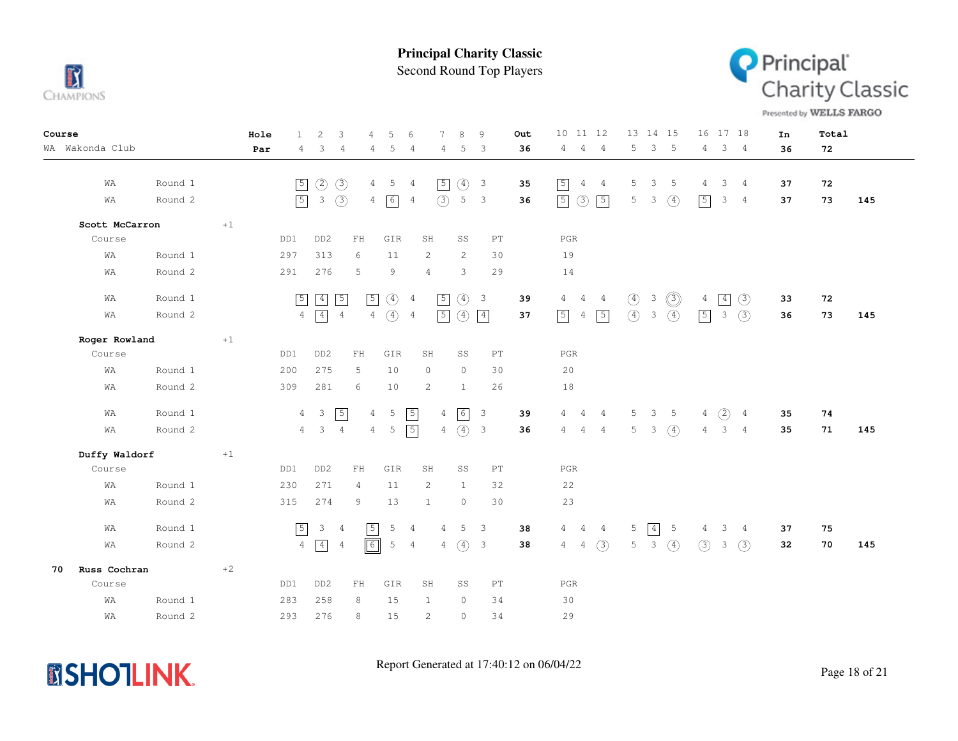

Second Round Top Players



Presented by WELLS FARGO

| Course |                 |                    |         | Hole | $\mathbf{1}$   | 2                              | 3              | 4              | 5             | 6              | $\overline{7}$        | 8             | 9                                                  | <b>Out</b> | 10<br>11 12                                        | 13 14 15                                              | 16 17 18                                                      | In       | Total    |     |
|--------|-----------------|--------------------|---------|------|----------------|--------------------------------|----------------|----------------|---------------|----------------|-----------------------|---------------|----------------------------------------------------|------------|----------------------------------------------------|-------------------------------------------------------|---------------------------------------------------------------|----------|----------|-----|
|        | WA Wakonda Club |                    |         | Par  | 4              | 3                              | 4              | 4              | 5             | 4              | 4                     | 5             | -3                                                 | 36         | $\overline{4}$<br>$\overline{4}$<br>4              | 5<br>3<br>-5                                          | 3 <sub>4</sub><br>4                                           | 36       | 72       |     |
|        | WA<br>WA        | Round 1<br>Round 2 |         |      | $\sqrt{5}$     | $\circled{2}$<br>$\mathcal{E}$ | $\circled{3}$  | 4              | -5            | 4              | $\sqrt{5}$<br>(3)     | ④<br>5        | $\overline{\mathbf{3}}$<br>$\overline{\mathbf{3}}$ | 35<br>36   | $\sqrt{5}$<br>$\overline{4}$<br>$\frac{4}{3}$      | -5<br>5<br>3<br>3                                     | $3 -$<br>$\overline{4}$<br>4<br>$\boxed{5}$<br>3 <sub>4</sub> | 37<br>37 | 72<br>73 | 145 |
|        |                 |                    |         |      | $\sqrt{5}$     |                                | (3)            | $\overline{4}$ | 6             | $\overline{4}$ |                       |               |                                                    |            | $\circled{3}$<br>$\sqrt{5}$<br>$\sqrt{5}$          | 5<br>$\circled{4}$                                    |                                                               |          |          |     |
|        | Scott McCarron  |                    | $+1$    |      |                |                                |                |                |               |                |                       |               |                                                    |            |                                                    |                                                       |                                                               |          |          |     |
|        | Course          |                    |         |      | DD1            | DD <sub>2</sub>                |                | FH             | GIR           |                | SH                    | SS            | PT                                                 |            | $_{\rm PGR}$                                       |                                                       |                                                               |          |          |     |
|        | WA              | Round 1            |         |      | 297            | 313                            |                | 6              | 11            |                | $\mathbf{2}^{\prime}$ | 2             | 30                                                 |            | 19                                                 |                                                       |                                                               |          |          |     |
|        | WΑ              | Round 2            |         |      | 291            | 276                            |                | 5              | 9             |                | $\overline{4}$        | 3             | 29                                                 |            | 14                                                 |                                                       |                                                               |          |          |     |
|        | WA              | Round 1            |         |      | $\sqrt{5}$     | $\boxed{4}$                    | $\boxed{5}$    | $\sqrt{5}$     | $\circled{4}$ | $\overline{4}$ | $\boxed{5}$           | $\circled{4}$ | $\overline{\mathbf{3}}$                            | 39         | $\overline{4}$<br>$\overline{4}$<br>$\overline{4}$ | $\circledS$<br>$\circled{4}$<br>3                     | $\boxed{4}$<br>(3)<br>4                                       | 33       | 72       |     |
|        | WA              | Round 2            |         |      | $\overline{4}$ | $\sqrt{4}$                     | $\overline{4}$ | $\,4$          | $\circled{4}$ | $\overline{4}$ | $\boxed{5}$           | $\circled{4}$ | $\vert 4 \vert$                                    | 37         | $\boxed{5}$<br>$\boxed{5}$<br>$\overline{4}$       | $\circled{4}$<br>$\mathcal{E}$<br>$\circled{4}$       | (3)<br>$\boxed{5}$<br>3                                       | 36       | 73       | 145 |
|        | Roger Rowland   |                    | $\pm 1$ |      |                |                                |                |                |               |                |                       |               |                                                    |            |                                                    |                                                       |                                                               |          |          |     |
|        | Course          |                    |         |      | DD1            | DD <sub>2</sub>                |                | FH             | GIR           |                | SH                    | SS            | PT                                                 |            | PGR                                                |                                                       |                                                               |          |          |     |
|        | WA              | Round 1            |         |      | 200            | 275                            |                | 5              | 10            |                | $\circ$               | $\circ$       | 30                                                 |            | 20                                                 |                                                       |                                                               |          |          |     |
|        | WA              | Round 2            |         |      | 309            | 281                            |                | 6              | 10            |                | 2                     | 1             | 26                                                 |            | 18                                                 |                                                       |                                                               |          |          |     |
|        | WA              | Round 1            |         |      | $\overline{4}$ | $\overline{\mathbf{3}}$        | $\boxed{5}$    | $\overline{4}$ | 5             | $\boxed{5}$    | $\overline{4}$        |               | $\overline{\mathbf{3}}$                            | 39         | 4<br>4<br>4                                        | 5 <sup>5</sup><br>$\mathcal{S}$<br>$5^{\circ}$        | (2)<br>4<br>$\overline{4}$                                    | 35       | 74       |     |
|        | WA              | Round 2            |         |      |                | $4 \quad 3$                    | $\overline{4}$ | $\overline{4}$ | 5             | $\boxed{5}$    |                       | $4\quad(4)$ 3 |                                                    | 36         | 4<br>4<br>$\frac{4}{3}$                            | $\left( \widehat{4}\right)$<br>$5-5$<br>$\mathcal{E}$ | 3 <sub>4</sub><br>4                                           | 35       | 71       | 145 |
|        | Duffy Waldorf   |                    | $+1$    |      |                |                                |                |                |               |                |                       |               |                                                    |            |                                                    |                                                       |                                                               |          |          |     |
|        | Course          |                    |         |      | DD1            | DD <sub>2</sub>                |                | ${\rm FH}$     | GIR           |                | SH                    | SS            | $\mathop{\rm PT}\nolimits$                         |            | $_{\rm PGR}$                                       |                                                       |                                                               |          |          |     |
|        | WA              | Round 1            |         |      | 230            | 271                            |                | $\overline{4}$ | 11            |                | 2                     | $\mathbf{1}$  | 32                                                 |            | 22                                                 |                                                       |                                                               |          |          |     |
|        | WA              | Round 2            |         |      | 315            | 274                            |                | 9              | 13            |                | $\mathbf{1}$          | $\circ$       | 30                                                 |            | 23                                                 |                                                       |                                                               |          |          |     |
|        | WA              | Round 1            |         |      | $\boxed{5}$    | 3 <sup>1</sup>                 | $\overline{4}$ | $\sqrt{5}$     | 5             | $\overline{4}$ | 4                     | 5             | $\overline{\phantom{a}}$                           | 38         | $4\phantom{0}$<br>$\frac{4}{3}$<br>4               | $\boxed{4}$<br>5<br>5                                 | 3<br>4<br>4                                                   | 37       | 75       |     |
|        | WA              | Round 2            |         |      | $\overline{4}$ | $\boxed{4}$                    | 4              | $\boxed{6}$    | 5             | 4              |                       | $4\quad(4)$   | $\overline{\mathbf{3}}$                            | 38         | $4\quad)$<br>$4 -$                                 | $3 \quad (4)$<br>5 <sub>5</sub>                       | (3)<br>$3 \quad (3)$                                          | 32       | 70       | 145 |
| 70     | Russ Cochran    |                    | $+2$    |      |                |                                |                |                |               |                |                       |               |                                                    |            |                                                    |                                                       |                                                               |          |          |     |
|        | Course          |                    |         |      | DD1            | DD <sub>2</sub>                |                | FH             | GIR           |                | SH                    | SS            | PT                                                 |            | $_{\rm PGR}$                                       |                                                       |                                                               |          |          |     |
|        | WA              | Round 1            |         |      | 283            | 258                            |                | 8              | 15            |                | $\mathbf{1}$          | $\circ$       | 34                                                 |            | 30                                                 |                                                       |                                                               |          |          |     |
|        | WA              | Round 2            |         |      | 293            | 276                            |                | 8              | 15            |                | $\mathbf{2}^{\prime}$ | $\circ$       | 34                                                 |            | 29                                                 |                                                       |                                                               |          |          |     |
|        |                 |                    |         |      |                |                                |                |                |               |                |                       |               |                                                    |            |                                                    |                                                       |                                                               |          |          |     |

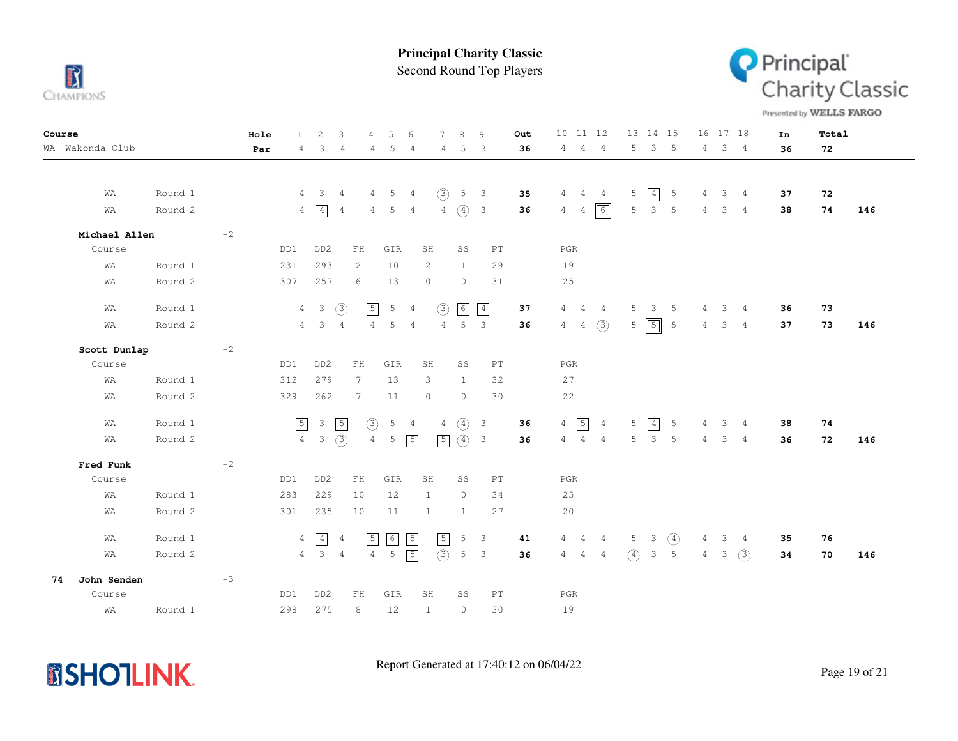

Second Round Top Players



Presented by WELLS FARGO

| Course |                 |         |      | Hole | $\mathbf{1}$   | 2               | 3              | $\overline{4}$             | 5               | 6              | 7              | 8              | 9                          | Out |                | 10 11 12       |                |         | 13 14 15                |                 |                | 16 17 18                |                | In | Total |     |
|--------|-----------------|---------|------|------|----------------|-----------------|----------------|----------------------------|-----------------|----------------|----------------|----------------|----------------------------|-----|----------------|----------------|----------------|---------|-------------------------|-----------------|----------------|-------------------------|----------------|----|-------|-----|
|        | WA Wakonda Club |         |      | Par  | 4              | 3               | $\overline{4}$ | 4                          | 5               | 4              | 4              | 5              | 3                          | 36  | 4              | $\frac{4}{3}$  | $\overline{4}$ | 5       | $\mathcal{E}$           | 5               | 4              |                         | $3 \quad 4$    | 36 | 72    |     |
|        |                 |         |      |      |                |                 |                |                            |                 |                |                |                |                            |     |                |                |                |         |                         |                 |                |                         |                |    |       |     |
|        |                 |         |      |      |                |                 |                |                            |                 |                |                |                |                            |     |                |                |                |         |                         |                 |                |                         |                |    |       |     |
|        | WΑ              | Round 1 |      |      | 4              | $\mathbf{3}$    | $\overline{4}$ | 4                          | 5               | 4              | (3)            | 5              | $\overline{\mathbf{3}}$    | 35  | 4              | $\overline{4}$ | $\overline{4}$ | 5       | $\boxed{4}$             | $5\phantom{.0}$ | 4              | $\mathcal{E}$           | $\overline{4}$ | 37 | 72    |     |
|        | WA              | Round 2 |      |      |                | $4 \sqrt{4}$    | $\overline{4}$ | 4                          | 5               | 4              | $\overline{4}$ | $\circled{4}$  | $\overline{\phantom{a}}$   | 36  | $4 -$          | 4              | $\boxed{6}$    | 5       | $\mathbf{3}$            | $5\phantom{.0}$ | 4              | $\overline{\mathbf{3}}$ | $\overline{4}$ | 38 | 74    | 146 |
|        | Michael Allen   |         | $+2$ |      |                |                 |                |                            |                 |                |                |                |                            |     |                |                |                |         |                         |                 |                |                         |                |    |       |     |
|        | Course          |         |      |      | DD1            | DD <sub>2</sub> |                | $\mathop{\rm FH}\nolimits$ | GIR             |                | SH             | SS             | $\mathop{\rm PT}\nolimits$ |     |                | $_{\rm PGR}$   |                |         |                         |                 |                |                         |                |    |       |     |
|        | WΑ              | Round 1 |      |      | 231            | 293             |                | 2                          | 10              |                | 2              | $\mathbf{1}$   | 29                         |     | 19             |                |                |         |                         |                 |                |                         |                |    |       |     |
|        | WΑ              | Round 2 |      |      | 307            | 257             |                | 6                          | 13              |                | $\circ$        | $\circ$        | 31                         |     | $2\,5$         |                |                |         |                         |                 |                |                         |                |    |       |     |
|        | WΑ              | Round 1 |      |      |                | $4\quad 3$      | $\circled{3}$  | $\sqrt{5}$                 | 5               | $\overline{4}$ | (3)            | 6              | $\boxed{4}$                | 37  | $\overline{4}$ | $\overline{4}$ | $\overline{4}$ | 5       | $\overline{\mathbf{3}}$ | $5\phantom{0}$  | 4              |                         | $3 \quad 4$    | 36 | 73    |     |
|        | WA              | Round 2 |      |      | $4\phantom{0}$ | 3               | $\overline{4}$ | 4                          | 5               | $\overline{4}$ | $\overline{4}$ | 5              | $\mathbf{3}$               | 36  | 4              | $\overline{4}$ | (3)            | 5       | $\boxed{5}$             | 5               | 4              | 3                       | $\overline{4}$ | 37 | 73    | 146 |
|        | Scott Dunlap    |         | $+2$ |      |                |                 |                |                            |                 |                |                |                |                            |     |                |                |                |         |                         |                 |                |                         |                |    |       |     |
|        | Course          |         |      |      | DD1            | DD <sub>2</sub> |                | ${\rm FH}$                 | GIR             |                | SH             | SS             | PT                         |     |                | $_{\rm PGR}$   |                |         |                         |                 |                |                         |                |    |       |     |
|        | WA              | Round 1 |      |      | 312            | 279             |                | $7\phantom{.0}$            | 13              |                | 3              | $\mathbf{1}$   | 32                         |     | 27             |                |                |         |                         |                 |                |                         |                |    |       |     |
|        | WΑ              | Round 2 |      |      | 329            | 262             |                | $7\phantom{.0}$            | 11              |                | $\circ$        | $\circ$        | 30                         |     |                | 22             |                |         |                         |                 |                |                         |                |    |       |     |
|        | WA              | Round 1 |      |      | $\boxed{5}$    | $\mathbf{3}$    | $\boxed{5}$    | (3)                        | $5\phantom{.0}$ | 4              | 4              | $\circled{4}$  | $\overline{3}$             | 36  | $\overline{4}$ | $\boxed{5}$    | $\overline{4}$ | 5       | 4                       | $5\phantom{.0}$ | 4              | 3                       | $\overline{4}$ | 38 | 74    |     |
|        | WA              | Round 2 |      |      | $4 -$          | $\mathcal{E}$   | $\circled{3}$  | $\overline{4}$             | 5               | $\sqrt{5}$     | $\boxed{5}$    | (4) 3          |                            | 36  | $4^{\circ}$    | $\overline{4}$ | $\frac{4}{3}$  | 5       | $\mathbf{3}$            | 5               | 4              | 3                       | $\overline{4}$ | 36 | 72    | 146 |
|        | Fred Funk       |         | $+2$ |      |                |                 |                |                            |                 |                |                |                |                            |     |                |                |                |         |                         |                 |                |                         |                |    |       |     |
|        | Course          |         |      |      | DD1            | DD <sub>2</sub> |                | ${\rm FH}$                 | GIR             |                | SH             | SS             | $\mathop{\rm PT}\nolimits$ |     |                | $_{\rm PGR}$   |                |         |                         |                 |                |                         |                |    |       |     |
|        | WA              | Round 1 |      |      | 283            | 229             |                | 10                         | 12              |                | $\mathbf{1}$   | $\circ$        | 34                         |     | 25             |                |                |         |                         |                 |                |                         |                |    |       |     |
|        |                 | Round 2 |      |      | 301            | 235             |                | 10                         | 11              |                | $\mathbf{1}$   | $\mathbf{1}$   | 27                         |     | 20             |                |                |         |                         |                 |                |                         |                |    |       |     |
|        | WΑ              |         |      |      |                |                 |                |                            |                 |                |                |                |                            |     |                |                |                |         |                         |                 |                |                         |                |    |       |     |
|        | WA              | Round 1 |      |      | 4              | $\sqrt{4}$      | 4              | $\boxed{5}$                | $\boxed{6}$     | $\sqrt{5}$     | $\sqrt{5}$     | 5              | 3                          | 41  | 4              | $\overline{4}$ | $\overline{4}$ | 5       | $\overline{\mathbf{3}}$ | $\circled{4}$   | 4              | $\mathbf{3}$            | $\overline{4}$ | 35 | 76    |     |
|        | WA              | Round 2 |      |      |                | $4 \quad 3$     | $\overline{4}$ | $\overline{4}$             | 5               | $\sqrt{5}$     | (3)            | 5 <sup>5</sup> | $\overline{3}$             | 36  | $\overline{4}$ | $\overline{4}$ | 4              | $\circ$ | $\mathcal{S}$           | 5               | $\overline{4}$ | $\mathbf{3}$            | (3)            | 34 | 70    | 146 |
| 74     | John Senden     |         | $+3$ |      |                |                 |                |                            |                 |                |                |                |                            |     |                |                |                |         |                         |                 |                |                         |                |    |       |     |
|        | Course          |         |      |      | DD1            | DD <sub>2</sub> |                | FH                         | GIR             |                | SH             | SS             | $\mathop{\rm PT}\nolimits$ |     |                | $_{\rm PGR}$   |                |         |                         |                 |                |                         |                |    |       |     |
|        | WΑ              | Round 1 |      |      | 298            | 275             |                | 8                          | 12              |                | $\mathbf{1}$   | $\circ$        | 30                         |     | 19             |                |                |         |                         |                 |                |                         |                |    |       |     |

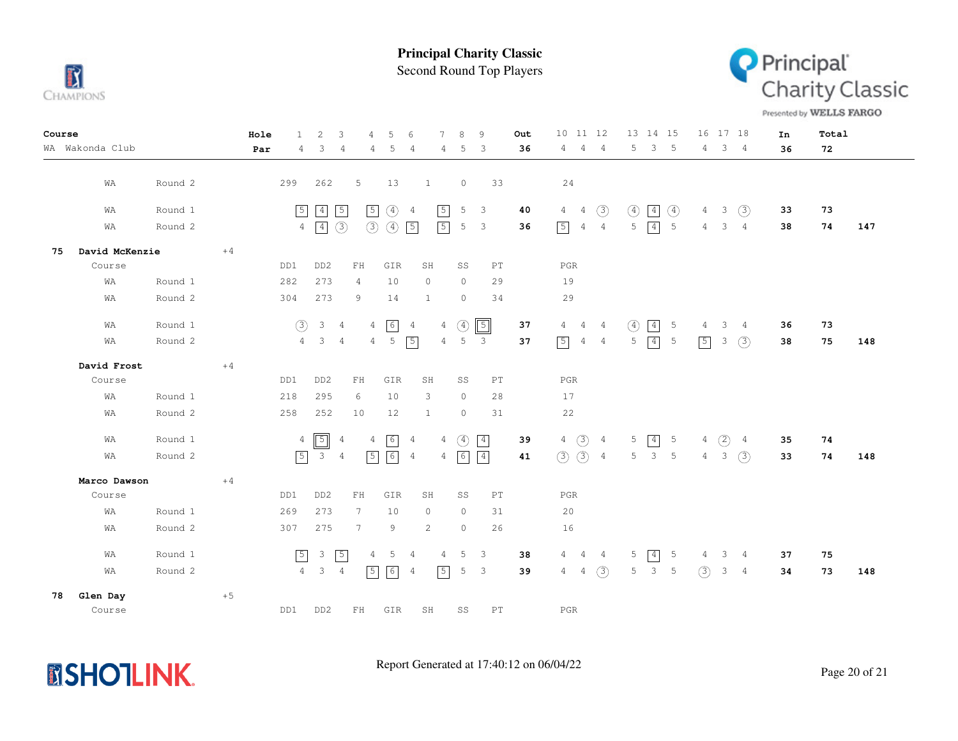

Second Round Top Players



Presented by WELLS FARGO

| Course                       | 2<br>Hole<br>$\mathbf{1}$      | 3<br>5<br>6<br>$\overline{4}$                                         | 8<br>9<br>Out                               | 10 11 12<br>13 14 15                                                                     | 16 17 18<br>Total<br>In                                  |
|------------------------------|--------------------------------|-----------------------------------------------------------------------|---------------------------------------------|------------------------------------------------------------------------------------------|----------------------------------------------------------|
| WA Wakonda Club              | $\overline{4}$<br>3<br>Par     | $\overline{4}$<br>5<br>4<br>4                                         | 36<br>5<br>3<br>4                           | 5<br>3<br>5<br>$\overline{4}$<br>4<br>$\overline{4}$                                     | 3 <sub>4</sub><br>$\overline{4}$<br>72<br>36             |
|                              |                                |                                                                       |                                             |                                                                                          |                                                          |
| Round 2<br>WA                | 299<br>262                     | 5<br>13<br>1                                                          | $\circledcirc$<br>33                        | 24                                                                                       |                                                          |
| Round 1<br>WA                | $\boxed{4}$<br>$\boxed{5}$     | $\sqrt{5}$<br>$\sqrt{5}$<br>$\circled{4}$<br>$\overline{4}$           | $\sqrt{5}$<br>5<br>3<br>40                  | $\boxed{4}$<br>(3)<br>$\circled{4}$<br>$\circled{4}$<br>$\overline{4}$<br>$\overline{4}$ | $\mathbf{3}$<br>(3)<br>73<br>$\overline{4}$<br>33        |
| Round 2<br>WA                | $\boxed{4}$<br>$\overline{4}$  | $\circled{3}$<br>$\circled{3}$<br>$\circled{4}$<br>$\sqrt{5}$         | $\sqrt{5}$<br>5<br>3<br>36                  | $\boxed{5}$<br>$5 \mid 4$<br>$5\phantom{.0}$<br>$\overline{4}$<br>$\overline{4}$         | $\overline{4}$<br>3<br>74<br>$\overline{4}$<br>38<br>147 |
| $+4$<br>David McKenzie<br>75 |                                |                                                                       |                                             |                                                                                          |                                                          |
| Course                       | DD <sub>2</sub><br>DD1         | GIR<br>FH<br>SH                                                       | SS<br>PT                                    | $_{\rm PGR}$                                                                             |                                                          |
| WA<br>Round 1                | 273<br>282                     | 10<br>$\overline{4}$<br>$\circ$                                       | $\circ$<br>29                               | 19                                                                                       |                                                          |
| Round 2<br>WΑ                | 304<br>273                     | 9<br>14<br>1                                                          | $\circ$<br>34                               | 29                                                                                       |                                                          |
| WA<br>Round 1                | $\circled{3}$<br>$\mathbf{3}$  | $6\overline{6}$<br>$\overline{4}$<br>4<br>$\overline{4}$              | $\sqrt{5}$<br>(4)<br>37<br>4                | $\boxed{4}$<br>$\circled{4}$<br>5<br>$\overline{4}$<br>$\overline{4}$<br>-4              | 3<br>73<br>36<br>4<br>$\frac{4}{3}$                      |
| Round 2<br>WA                | $4\phantom{0}$<br>$\mathbf{3}$ | 5<br>$\boxed{5}$<br>$\overline{4}$<br>$4\overline{ }$                 | 5<br>$\overline{4}$<br>3<br>37              | $\boxed{5}$<br>$\boxed{4}$<br>5<br>5<br>$\overline{4}$<br>4                              | $\boxed{5}$<br>(3)<br>3<br>75<br>148<br>38               |
| David Frost<br>$+4$          |                                |                                                                       |                                             |                                                                                          |                                                          |
| Course                       | DD1<br>DD <sub>2</sub>         | ${\rm FH}$<br>GIR<br>SH                                               | SS<br>PT                                    | PGR                                                                                      |                                                          |
| Round 1<br>WA                | 295<br>218                     | 6<br>10<br>3                                                          | $\circ$<br>28                               | 17                                                                                       |                                                          |
| Round 2<br>WA                | 258<br>252                     | 12<br>10<br>1                                                         | $\circ$<br>31                               | 22                                                                                       |                                                          |
| WA<br>Round 1                | $\boxed{5}$<br>$\overline{4}$  | $6\overline{6}$<br>$\overline{4}$<br>$\overline{4}$<br>$\overline{4}$ | $\circled{4}$<br>$\boxed{4}$<br>4<br>39     | $4 \text{ } 3 \text{ } 4$<br>$\boxed{4}$<br>5<br>$5\phantom{.0}$                         | (2)<br>74<br>4<br>$\overline{4}$<br>35                   |
| Round 2<br>WA                | $\boxed{5}$<br>$\mathcal{S}$   | $\lceil 6 \rceil$<br>$\sqrt{5}$<br>$\overline{4}$<br>$\overline{4}$   | 6<br>$\boxed{4}$<br>$\overline{4}$<br>41    | $\circled{3}$ 4<br>(3)<br>$\mathbf{3}$<br>5<br>5                                         | $\overline{4}$<br>3<br>(3)<br>74<br>148<br>33            |
| $+4$<br>Marco Dawson         |                                |                                                                       |                                             |                                                                                          |                                                          |
| Course                       | DD1<br>DD <sub>2</sub>         | ${\rm FH}$<br>GIR<br>SH                                               | SS<br>$\mathop{\rm PT}\nolimits$            | PGR                                                                                      |                                                          |
| Round 1<br>WA                | 269<br>273                     | $7\phantom{.0}$<br>10<br>$\circ$                                      | $\circ$<br>31                               | 20                                                                                       |                                                          |
| Round 2<br>WA                | 307<br>275                     | 7<br>9<br>2                                                           | $\circ$<br>26                               | 16                                                                                       |                                                          |
| Round 1<br>WA                | $\sqrt{5}$<br>$\mathbf{3}$     | $\sqrt{5}$<br>$\overline{4}$<br>5<br>4                                | 5<br>$\overline{4}$<br>3<br>38              | 5<br>$\boxed{4}$<br>$5\phantom{.0}$<br>$\overline{4}$<br>4<br>4                          | 3<br>75<br>4<br>$\overline{4}$<br>37                     |
| Round 2<br>WA                | 4<br>$\mathcal{S}$             | $\overline{4}$<br>$\sqrt{5}$<br>6<br>4                                | $\sqrt{5}$<br>5<br>3<br>39                  | $\mathbf{3}$<br>(3)<br>5<br>5<br>$\overline{4}$<br>$\overline{4}$                        | (3)<br>3<br>73<br>148<br>34<br>$\overline{4}$            |
| $+5$<br>Glen Day<br>78       |                                |                                                                       |                                             |                                                                                          |                                                          |
| Course                       | DD1<br>DD <sub>2</sub>         | ${\rm FH}$<br>GIR<br>SH                                               | $\texttt{SS}$<br>$\mathop{\rm PT}\nolimits$ | $_{\rm PGR}$                                                                             |                                                          |